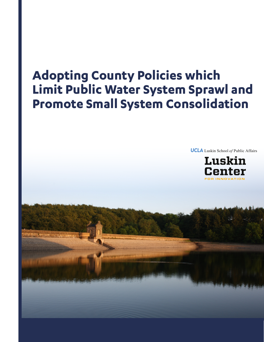# **Adopting County Policies which Limit Public Water System Sprawl and Promote Small System Consolidation**

**UCLA** Luskin School of Public Affairs

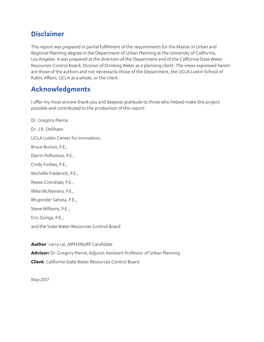### **Disclaimer**

This report was prepared in partial fulfillment of the requirements for the Master in Urban and Regional Planning degree in the Department of Urban Planning at the University of California, Los Angeles. It was prepared at the direction of the Department and of the California State Water Resources Control Board, Division of Drinking Water as a planning client. The views expressed herein are those of the authors and not necessarily those of the Department, the UCLA Luskin School of Public Affairs, UCLA as a whole, or the client.

### **Acknowledgments**

I offer my most sincere thank you and deepest gratitude to those who helped make this project possible and contributed to the production of this report:

Dr. Gregory Pierce, Dr. J.R. DeShazo UCLA Luskin Center for Innovation, Bruce Burton, P.E., Darrin Polhemus, P.E., Cindy Forbes, P.E., Michelle Frederick, P.E., Reese Crenshaw, P.E., Mike McNamara, P.E., Bhupinder Sahota, P.E., Steve Williams, P.E., Eric Zuniga, P.E., and the State Water Resources Control Board

**Author**: Larry Lai, MPH/MURP Candidate **Advisor:** Dr. Gregory Pierce, Adjunct Assistant Professor of Urban Planning **Client**: California State Water Resources Control Board

May 2017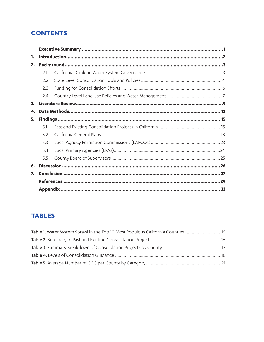### **CONTENTS**

| 1. |     |  |  |  |  |  |  |  |
|----|-----|--|--|--|--|--|--|--|
| 2. |     |  |  |  |  |  |  |  |
|    | 2.1 |  |  |  |  |  |  |  |
|    | 2.2 |  |  |  |  |  |  |  |
|    | 2.3 |  |  |  |  |  |  |  |
|    | 2.4 |  |  |  |  |  |  |  |
| 3. |     |  |  |  |  |  |  |  |
| 4. |     |  |  |  |  |  |  |  |
| 5. |     |  |  |  |  |  |  |  |
|    | 5.1 |  |  |  |  |  |  |  |
|    | 5.2 |  |  |  |  |  |  |  |
|    | 5.3 |  |  |  |  |  |  |  |
|    | 5.4 |  |  |  |  |  |  |  |
|    | 5.5 |  |  |  |  |  |  |  |
| 6. |     |  |  |  |  |  |  |  |
| 7. |     |  |  |  |  |  |  |  |
|    |     |  |  |  |  |  |  |  |
|    |     |  |  |  |  |  |  |  |

### **TABLES**

| Table 1. Water System Sprawl in the Top 10 Most Populous California Counties15 |  |
|--------------------------------------------------------------------------------|--|
|                                                                                |  |
|                                                                                |  |
|                                                                                |  |
|                                                                                |  |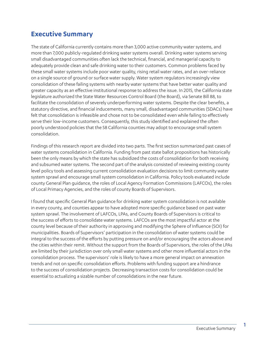### **Executive Summary**

The state of California currently contains more than 3,000 active community water systems, and more than 7,000 publicly-regulated drinking water systems overall. Drinking water systems serving small disadvantaged communities often lack the technical, financial, and managerial capacity to adequately provide clean and safe drinking water to their customers. Common problems faced by these small water systems include poor water quality, rising retail water rates, and an over-reliance on a single source of ground or surface water supply. Water system regulators increasingly view consolidation of these failing systems with nearby water systems that have better water quality and greater capacity as an effective institutional response to address the issue. In 2015, the California state legislature authorized the State Water Resources Control Board (the Board), via Senate Bill 88, to facilitate the consolidation of severely underperforming water systems. Despite the clear benefits, a statutory directive, and financial inducements, many small, disadvantaged communities (SDACs) have felt that consolidation is infeasible and chose not to be consolidated even while failing to effectively serve their low-income customers. Consequently, this study identified and explained the often poorly understood policies that the 58 California counties may adopt to encourage small system consolidation.

Findings of this research report are divided into two parts. The first section summarized past cases of water systems consolidation in California. Funding from past state ballot propositions has historically been the only means by which the state has subsidized the costs of consolidation for both receiving and subsumed water systems. The second part of the analysis consisted of reviewing existing county level policy tools and assessing current consolidation evaluation decisions to limit community water system sprawl and encourage small system consolidation in California. Policy tools evaluated include county General Plan guidance, the roles of Local Agency Formation Commissions (LAFCOs), the roles of Local Primacy Agencies, and the roles of county Boards of Supervisors.

I found that specific General Plan guidance for drinking water system consolidation is not available in every county, and counties appear to have adopted more specific guidance based on past water system sprawl. The involvement of LAFCOs, LPAs, and County Boards of Supervisors is critical to the success of efforts to consolidate water systems. LAFCOs are the most impactful actor at the county level because of their authority in approving and modifying the Sphere of Influence (SOI) for municipalities. Boards of Supervisors' participation in the consolidation of water systems could be integral to the success of the efforts by putting pressure on and/or encouraging the actors above and the cities within their remit. Without the support from the Boards of Supervisors, the roles of the LPAs are limited by their jurisdiction over only small water systems and other more influential actors in the consolidation process. The supervisors' role is likely to have a more general impact on annexation trends and not on specific consolidation efforts. Problems with funding support are a hindrance to the success of consolidation projects. Decreasing transaction costs for consolidation could be essential to actualizing a sizable number of consolidations in the near future.

1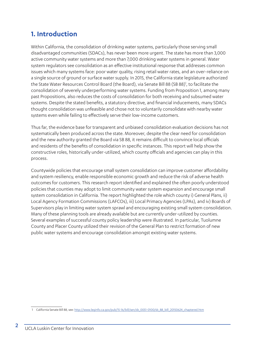### **1. Introduction**

Within California, the consolidation of drinking water systems, particularly those serving small disadvantaged communities (SDACs), has never been more urgent. The state has more than 3,000 active community water systems and more than 7,000 drinking water systems in general. Water system regulators see consolidation as an effective institutional response that addresses common issues which many systems face: poor water quality, rising retail water rates, and an over-reliance on a single source of ground or surface water supply. In 2015, the California state legislature authorized the State Water Resources Control Board (the Board), via Senate Bill 88 (SB 88)<sup>1</sup>, to facilitate the consolidation of severely underperforming water systems. Funding from Proposition 1, among many past Propositions, also reduces the costs of consolidation for both receiving and subsumed water systems. Despite the stated benefits, a statutory directive, and financial inducements, many SDACs thought consolidation was unfeasible and chose not to voluntarily consolidate with nearby water systems even while failing to effectively serve their low-income customers.

Thus far, the evidence base for transparent and unbiased consolidation evaluation decisions has not systematically been produced across the state. Moreover, despite the clear need for consolidation and the new authority granted the Board via SB 88, it remains difficult to convince local officials and residents of the benefits of consolidation in specific instances. This report will help show the constructive roles, historically under-utilized, which county officials and agencies can play in this process.

Countywide policies that encourage small system consolidation can improve customer affordability and system resiliency, enable responsible economic growth and reduce the risk of adverse health outcomes for customers. This research report identified and explained the often poorly understood policies that counties may adopt to limit community water system expansion and encourage small system consolidation in California. The report highlighted the role which county i) General Plans, ii) Local Agency Formation Commissions (LAFCOs), iii) Local Primacy Agencies (LPAs), and iv) Boards of Supervisors play in limiting water system sprawl and encouraging existing small system consolidation. Many of these planning tools are already available but are currently under-utilized by counties. Several examples of successful county policy leadership were illustrated. In particular, Tuolumne County and Placer County utilized their revision of the General Plan to restrict formation of new public water systems and encourage consolidation amongst existing water systems.

<sup>1</sup> California Senate Bill 88, see: http://www.leginfo.ca.gov/pub/15-16/bill/sen/sb\_0051-0100/sb\_88\_bill\_20150624\_chaptered.htm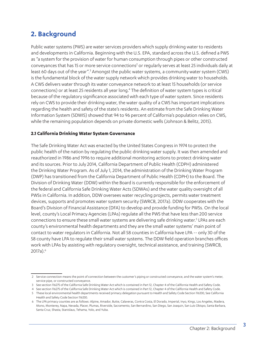### **2. Background**

Public water systems (PWS) are water services providers which supply drinking water to residents and developments in California. Beginning with the U.S. EPA, standard across the U.S. defined a PWS as "a system for the provision of water for human consumption through pipes or other constructed conveyances that has 15 or more service connections<sup>2</sup> or regularly serves at least 25 individuals daily at least 60 days out of the year".<sup>3</sup> Amongst the public water systems, a community water system (CWS) is the fundamental block of the water supply network which provides drinking water to households. A CWS delivers water through its water conveyance network to at least 15 households (or service connections) or at least 25 residents all year long.<sup>4</sup> The definition of water system types is critical because of the regulatory significance associated with each type of water system. Since residents rely on CWS to provide their drinking water, the water quality of a CWS has important implications regarding the health and safety of the state's residents. An estimate from the Safe Drinking Water Information System (SDWIS) showed that 94 to 96 percent of California's population relies on CWS, while the remaining population depends on private domestic wells (Johnson & Belitz, 2015).

#### **2.1 California Drinking Water System Governance**

The Safe Drinking Water Act was enacted by the United States Congress in 1974 to protect the public health of the nation by regulating the public drinking water supply. It was then amended and reauthorized in 1986 and 1996 to require additional monitoring actions to protect drinking water and its sources. Prior to July 2014, California Department of Public Health (CDPH) administered the Drinking Water Program. As of July 1, 2014, the administration of the Drinking Water Program (DWP) has transitioned from the California Department of Public Health (CDPH) to the Board. The Division of Drinking Water (DDW) within the Board is currently responsible for the enforcement of the federal and California Safe Drinking Water Acts (SDWAs) and the water quality oversight of all PWSs in California. In addition, DDW oversees water recycling projects, permits water treatment devices, supports and promotes water system security (SWRCB, 2017a). DDW cooperates with the Board's Division of Financial Assistance (DFA) to develop and provide funding for PWSs. On the local level, county's Local Primacy Agencies (LPAs) regulate all the PWS that have less than 200 service connections to ensure these small water systems are delivering safe drinking water.<sup>5</sup> LPAs are each county's environmental health departments and they are the small water systems' main point of contact to water regulators in California. Not all 58 counties in California have LPA -- only 30 of the 58 county have LPA to regulate their small water systems. The DDW field operation branches offices work with LPAs by assisting with regulatory oversight, technical assistance, and training (SWRCB, 2017a).<sup>6</sup>

<sup>2</sup> Service connection means the point of connection between the customer's piping or constructed conveyance, and the water system's meter, service pipe, or constructed conveyance.

<sup>3</sup> See section 116275 of the California Safe Drinking Water Act which is contained in Part 12, Chapter 4 of the California Health and Safety Code.

<sup>4</sup> See section 116275 of the California Safe Drinking Water Act which is contained in Part 12, Chapter 4 of the California Health and Safety Code.

<sup>5</sup> These local environmental health departments received primacy delegation pursuant to Health and Safety Code Section 116330, See California Health and Safety Code Section 116330.

<sup>6</sup> The LPA primacy counties are as follows: Alpine, Amador, Butte, Calaveras, Contra Costa, El Dorado, Imperial, Inyo, Kings, Los Angeles, Madera, Mono, Monterey, Napa, Nevada, Placer, Plumas, Riverside, Sacramento, San Bernardino, San Diego, San Joaquin, San Luis Obispo, Santa Barbara, Santa Cruz, Shasta, Stanislaus, Tehama, Yolo, and Yuba.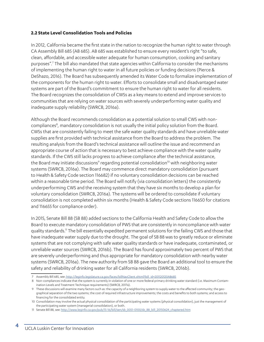#### **2.2 State Level Consolidation Tools and Policies**

In 2012, California became the first state in the nation to recognize the human right to water through CA Assembly Bill 685 (AB 685). AB 685 was established to ensure every resident's right "to safe, clean, affordable, and accessible water adequate for human consumption, cooking and sanitary purposes".7 The bill also mandated that state agencies within California to consider the mechanisms of implementing the human right to water in all future policies or funding decisions (Pierce & DeShazo, 2016). The Board has subsequently amended its Water Code to formalize implementation of the components for the human right to water. Efforts to consolidate small and disadvantaged water systems are part of the Board's commitment to ensure the human right to water for all residents. The Board recognizes the consolidation of CWSs as a key means to extend and improve services to communities that are relying on water sources with severely underperforming water quality and inadequate supply reliability (SWRCB, 2016a).

Although the Board recommends consolidation as a potential solution to small CWS with noncompliances<sup>8</sup>, mandatory consolidation is not usually the initial policy solution from the Board. CWSs that are consistently failing to meet the safe water quality standards and have unreliable water supplies are first provided with technical assistance from the Board to address the problem. The resulting analysis from the Board's technical assistance will outline the issue and recommend an appropriate course of action that is necessary to best achieve compliance with the water quality standards. If the CWS still lacks progress to achieve compliance after the technical assistance, the Board may initiate discussions $^{\circ}$  regarding potential consolidation $^{\text{10}}$  with neighboring water systems (SWRCB, 2016a). The Board may commence direct mandatory consolidation (pursuant to Health & Safety Code section 116682) if no voluntary consolidation decisions can be reached within a reasonable time period. The Board will notify (via consolidation letters) the consistently underperforming CWS and the receiving system that they have six months to develop a plan for voluntary consolidation (SWRCB, 2016a). The systems will be ordered to consolidate if voluntary consolidation is not completed within six months (Health & Safety Code sections 116650 for citations and 116655 for compliance order).

In 2015, Senate Bill 88 (SB 88) added sections to the California Health and Safety Code to allow the Board to execute mandatory consolidation of PWS that are consistently in noncompliance with water quality standards.11 The bill essentially expedited permanent solutions for the failing CWS and those that have inadequate water supply due to the drought. The goal of SB 88 was to greatly reduce or eliminate systems that are not complying with safe water quality standards or have inadequate, contaminated, or unreliable water sources (SWRCB, 2016b). The Board has found approximately two percent of PWS that are severely underperforming and thus appropriate for mandatory consolidation with nearby water systems (SWRCB, 2016a). The new authority from SB 88 gave the Board an additional tool to ensure the safety and reliability of drinking water for all California residents (SWRCB, 2016b).

<sup>7</sup> Assembly Bill 685, see: http://leginfo.legislature.ca.gov/faces/billNavClient.xhtml?bill\_id=201120120AB685

<sup>8</sup> Non-compliances indicate that the system is currently in violation of one or more federal primary drinking water standard (i.e. Maximum Contamination Levels and Treatment Technique requirements) (SWRCB, 2017a).

<sup>9</sup> These discussions will examine many factors such as: the capacity of a neighboring system to supply water to the affected community; the geographical separation of the two systems; the cost of required infrastructure improvements; the costs and benefits to both systems; and access to financing for the consolidated entity.

<sup>10</sup> Consolidation may involve the actual physical consolidation of the participating water systems (physical consolidation), just the management of the participating water system (managerial consolidation), or both.

<sup>11</sup> Senate Bill 88, see: http://www.leginfo.ca.gov/pub/15-16/bill/sen/sb\_0051-0100/sb\_88\_bill\_20150624\_chaptered.htm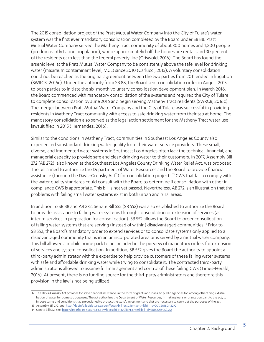The 2015 consolidation project of the Pratt Mutual Water Company into the City of Tulare's water system was the first ever mandatory consolidation completed by the Board under SB 88. Pratt Mutual Water Company served the Matheny Tract community of about 300 homes and 1,200 people (predominantly Latino population), where approximately half the homes are rentals and 30 percent of the residents earn less than the federal poverty line (Griswold, 2016). The Board has found the arsenic level at the Pratt Mutual Water Company to be consistently above the safe level for drinking water (maximum contaminant level, MCL) since 2010 (Carlucci, 2015). A voluntary consolidation could not be reached as the original agreement between the two parties from 2011 ended in litigation (SWRCB, 2016c). Under the authority from SB 88, the Board sent consolidation order in August 2015 to both parties to initiate the six-month voluntary consolidation development plan. In March 2016, the Board commenced with mandatory consolidation of the systems and required the City of Tulare to complete consolidation by June 2016 and begin serving Matheny Tract residents (SWRCB, 2016c). The merger between Pratt Mutual Water Company and the City of Tulare was successful in providing residents in Matheny Tract community with access to safe drinking water from their tap at home. The mandatory consolidation also served as the legal action settlement for the Matheny Tract water use lawsuit filed in 2015 (Hernandez, 2016).

Similar to the conditions in Matheny Tract, communities in Southeast Los Angeles County also experienced substandard drinking water quality from their water service providers. These small, diverse, and fragmented water systems in Southeast Los Angeles often lack the technical, financial, and managerial capacity to provide safe and clean drinking water to their customers. In 2017, Assembly Bill 272 (AB 272), also known as the Southeast Los Angeles County Drinking Water Relief Act, was proposed. The bill aimed to authorize the Department of Water Resources and the Board to provide financial assistance (through the Davis-Grunsky Act<sup>12</sup>) for consolidation projects.<sup>13</sup> CWS that fail to comply with the water quality standards could consult with the Board to determine if consolidation with other incompliance CWS is appropriate. This bill is not yet passed. Nevertheless, AB 272 is an illustration that the problems with failing small water systems exist in both urban and rural areas.

In addition to SB 88 and AB 272, Senate Bill 552 (SB 552) was also established to authorize the Board to provide assistance to failing water systems through consolidation or extension of services (as interim services in preparation for consolidation). SB 552 allows the Board to order consolidation of failing water systems that are serving (instead of within) disadvantaged communities.<sup>14</sup> Prior to SB 552, the Board's mandatory order to extend services or to consolidate systems only applied to a disadvantaged community that is in an unincorporated area or is served by a mutual water company. This bill allowed a mobile home park to be included in the purview of mandatory orders for extension of services and system consolidation. In addition, SB 552 gives the Board the authority to appoint a third-party administrator with the expertise to help provide customers of these failing water systems with safe and affordable drinking water while trying to consolidate it. The contracted third-party administrator is allowed to assume full management and control of these failing CWS (Times-Herald, 2016). At present, there is no funding source for the third-party administrators and therefore this provision in the law is not being utilized.

<sup>12</sup> The Davis-Grunsky Act provides for state financial assistance, in the form of grants and loans, to public agencies for, among other things, distribution of water for domestic purposes. The act authorizes the Department of Water Resources, in making loans or grants pursuant to the act, to impose terms and conditions that are designed to protect the state's investment and that are necessary to carry out the purposes of the act.

<sup>13</sup> Assembly Bill 272, see: http://leginfo.legislature.ca.gov/faces/billTextClient.xhtml?bill\_id=201720180AB272

<sup>14</sup> Senate Bill 552, see: http://leginfo.legislature.ca.gov/faces/billNavClient.xhtml?bill\_id=201520160SB552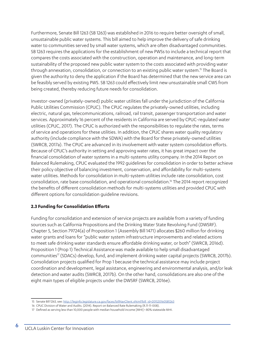Furthermore, Senate Bill 1263 (SB 1263) was established in 2016 to require better oversight of small, unsustainable public water systems. This bill aimed to help improve the delivery of safe drinking water to communities served by small water systems, which are often disadvantaged communities. SB 1263 requires the applications for the establishment of new PWSs to include a technical report that compares the costs associated with the construction, operation and maintenance, and long-term sustainability of the proposed new public water system to the costs associated with providing water through annexation, consolidation, or connection to an existing public water system.<sup>15</sup> The Board is given the authority to deny the application if the Board has determined that the new service area can be feasibly served by existing PWS. SB 1263 could effectively limit new unsustainable small CWS from being created, thereby reducing future needs for consolidation.

Investor-owned (privately-owned) public water utilities fall under the jurisdiction of the California Public Utilities Commission (CPUC). The CPUC regulates the privately-owned utilities, including electric, natural gas, telecommunications, railroad, rail transit, passenger transportation and water services. Approximately 16 percent of the residents in California are served by CPUC-regulated water utilities (CPUC, 2017). The CPUC is authorized with the responsibilities to regulate the rates, terms of service and operations for these utilities. In addition, the CPUC shares water quality regulatory authority (include compliance with the SDWA) with the Board for these privately-owned utilities (SWRCB, 2017a). The CPUC are advanced in its involvement with water system consolidation efforts. Because of CPUC's authority in setting and approving water rates, it has great impact over the financial consolidation of water systems in a multi-systems utility company. In the 2014 Report on Balanced Rulemaking, CPUC evaluated the 1992 guidelines for consolidation in order to better achieve their policy objective of balancing investment, conservation, and affordability for multi-systems water utilities. Methods for consolidation in multi-system utilities include rate consolidation, cost consolidation, rate base consolidation, and operational consolidation.16 The 2014 report recognized the benefits of different consolidation methods for multi-systems utilities and provided CPUC with different options for consolidation guideline revisions.

#### **2.3 Funding for Consolidation Efforts**

Funding for consolidation and extension of service projects are available from a variety of funding sources such as California Propositions and the Drinking Water State Revolving Fund (DWSRF). Chapter 5, Section 79724(a) of Proposition 1 (Assembly Bill 1471) allocates \$260 million for drinking water grants and loans for "public water system infrastructure improvements and related actions to meet safe drinking water standards ensure affordable drinking water, or both" (SWRCB, 2016d). Proposition 1 (Prop 1) Technical Assistance was made available to help small disadvantaged communities<sup> $17$ </sup> (SDACs) develop, fund, and implement drinking water capital projects (SWRCB, 2017b). Consolidation projects qualified for Prop 1 because the technical assistance may include project coordination and development, legal assistance, engineering and environmental analysis, and/or leak detection and water audits (SWRCB, 2017b). On the other hand, consolidations are also one of the eight main types of eligible projects under the DWSRF (SWRCB, 2016e).

<sup>15</sup> Senate Bill 1263, see: http://leginfo.legislature.ca.gov/faces/billNavClient.xhtml?bill\_id=201520160SB1263

<sup>16</sup> CPUC Division of Water and Audits. (2014). Report on Balanced Rate Rulemaking (R.11-11-008).

<sup>17</sup> Defined as serving less than 10,000 people with median household income [MHI] < 80% statewide MHI.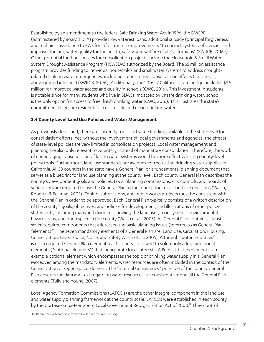Established by an amendment to the federal Safe Drinking Water Act in 1996, the DWSRF (administered by Board's DFA) provides low-interest loans, additional subsidy (principal forgiveness), and technical assistance to PWS for infrastructure improvements "to correct system deficiencies and improve drinking water quality for the health, safety, and welfare of all Californians" (SWRCB, 2016e). Other potential funding sources for consolidation projects include the Household & Small Water System Drought Assistance Program (HSWSDA) authorized by the Board. The \$5 million assistance program provides funding to individual households and small water systems to address droughtrelated drinking water emergencies, including some limited consolidation efforts (i.e. laterals, aboveground interties) (SWRCB, 2016f). Additionally, the 2016-17 California state budget includes \$9.5 million for improved water access and quality in schools (CWC, 2016). This investment in students is notable since for many students who live in SDACs impacted by unsafe drinking water, school is the only option for access to free, fresh drinking water (CWC, 2016). This illustrates the state's commitment to ensure residents' access to safe and clean drinking water.

#### **2.4 County Level Land Use Policies and Water Management**

As previously described, there are currently tools and some funding available at the state-level for consolidation efforts. Yet, without the involvement of local governments and agencies, the effects of state-level policies are very limited in consolidation projects. Local water management and planning are also only relevant to voluntary, instead of mandatory consolidation. Therefore, the work of encouraging consolidation of failing water systems would be more effective using county-level policy tools. Furthermore, land-use standards are avenues for regulating drinking water supplies in California. All 58 counties in the state have a General Plan, or a fundamental planning document that serves as a blueprint for land use planning at the county level. Each county General Plan describes the county's development goals and policies. Local planning commissions, city councils, and boards of supervisors are required to use the General Plan as the foundation for all land use decisions (Walsh, Roberts, & Pellman, 2005). Zoning, subdivisions, and public works projects must be consistent with the General Plan in order to be approved. Each General Plan typically consists of a written description of the county's goals, objectives, and policies for development; and illustrations of other policy statements, including maps and diagrams showing the land uses, road systems, environmental hazard areas, and open space in the county (Walsh et al., 2005). All General Plan contains at least seven required components that addressed the basic planning issues (referred to as General Plan "elements"). The seven mandatory elements of a General Plan are: Land Use, Circulation, Housing, Conservation, Open Space, Noise, and Safety Walsh et al., 2005). Although "water resources" is not a required General Plan element, each county is allowed to voluntarily adopt additional elements ("optional elements") that incorporate local interests. A Public Utilities element is an example optional element which encompasses the topic of drinking water supply in a General Plan. Moreover, among the mandatory elements, water resources are often included in the context of the Conservation or Open Space Element. The "Internal Consistency" principle of the county General Plan ensures the data and text regarding water resources are consistent among all the General Plan elements (Tully and Young, 2007).

Local Agency Formation Commissions (LAFCOs) are the other integral component in the land use and water supply planning framework at the county scale. LAFCOs were established in each county by the Cortese-Knox-Hertzberg Local Government Reorganization Act of 2000.18 They control

<sup>18</sup> Reference California Government Code Section 56000 et seq.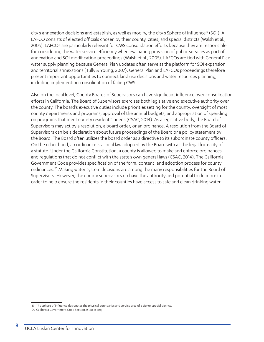city's annexation decisions and establish, as well as modify, the city's Sphere of Influence<sup>19</sup> (SOI). A LAFCO consists of elected officials chosen by their county, cities, and special districts (Walsh et al., 2005). LAFCOs are particularly relevant for CWS consolidation efforts because they are responsible for considering the water service efficiency when evaluating provision of public services as part of annexation and SOI modification proceedings (Walsh et al., 2005). LAFCOs are tied with General Plan water supply planning because General Plan updates often serve as the platform for SOI expansion and territorial annexations (Tully & Young, 2007). General Plan and LAFCOs proceedings therefore present important opportunities to connect land use decisions and water resources planning, including implementing consolidation of failing CWS.

Also on the local level, County Boards of Supervisors can have significant influence over consolidation efforts in California. The Board of Supervisors exercises both legislative and executive authority over the county. The board's executive duties include priorities setting for the county, oversight of most county departments and programs, approval of the annual budgets, and appropriation of spending on programs that meet county residents' needs (CSAC, 2014). As a legislative body, the Board of Supervisors may act by a resolution, a board order, or an ordinance. A resolution from the Board of Supervisors can be a declaration about future proceedings of the Board or a policy statement by the Board. The Board often utilizes the board order as a directive to its subordinate county officers. On the other hand, an ordinance is a local law adopted by the Board with all the legal formality of a statute. Under the California Constitution, a county is allowed to make and enforce ordinances and regulations that do not conflict with the state's own general laws (CSAC, 2014). The California Government Code provides specification of the form, content, and adoption process for county ordinances.20 Making water system decisions are among the many responsibilities for the Board of Supervisors. However, the county supervisors do have the authority and potential to do more in order to help ensure the residents in their counties have access to safe and clean drinking water.

<sup>19</sup> The sphere of influence designates the physical boundaries and service area of a city or special district.

<sup>20</sup> California Government Code Section 25120 et seq.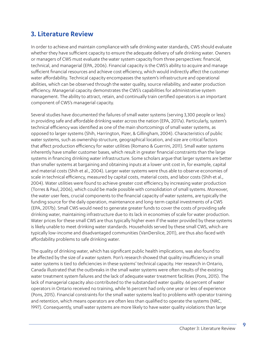### **3. Literature Review**

In order to achieve and maintain compliance with safe drinking water standards, CWS should evaluate whether they have sufficient capacity to ensure the adequate delivery of safe drinking water. Owners or managers of CWS must evaluate the water system capacity from three perspectives: financial, technical, and managerial (EPA, 2006). Financial capacity is the CWS's ability to acquire and manage sufficient financial resources and achieve cost efficiency, which would indirectly affect the customer water affordability. Technical capacity encompasses the system's infrastructure and operational abilities, which can be observed through the water quality, source reliability, and water production efficiency. Managerial capacity demonstrates the CWS's capabilities for administrative system management. The ability to attract, retain, and continually train certified operators is an important component of CWS's managerial capacity.

Several studies have documented the failures of small water systems (serving 3,300 people or less) in providing safe and affordable drinking water across the nation (EPA, 2017a). Particularly, system's technical efficiency was identified as one of the main shortcomings of small water systems, as opposed to larger systems (Shih, Harrington, Pizer, & Gillingham, 2004). Characteristics of public water systems, such as ownership structure, geographical location, and size are critical factors that affect production efficiency for water utilities (Romano & Guerrini, 2011). Small water systems inherently have smaller customer bases, which result in greater financial constraints than the large systems in financing drinking water infrastructure. Some scholars argue that larger systems are better than smaller systems at bargaining and obtaining inputs at a lower unit cost in, for example, capital and material costs (Shih et al., 2004). Larger water systems were thus able to observe economies of scale in technical efficiency, measured by capital costs, material costs, and labor costs (Shih et al., 2004). Water utilities were found to achieve greater cost efficiency by increasing water production (Torres & Paul, 2006), which could be made possible with consolidation of small systems. Moreover, the water user fees, crucial components to the financial capacity of water systems, are typically the funding source for the daily operation, maintenance and long-term capital investments of a CWS (EPA, 2017b). Small CWS would need to generate greater funds to cover the costs of providing safe drinking water, maintaining infrastructure due to its lack in economies of scale for water production. Water prices for these small CWS are thus typically higher even if the water provided by these systems is likely unable to meet drinking water standards. Households served by these small CWS, which are typically low-income and disadvantaged communities (VanDerslice, 2011), are thus also faced with affordability problems to safe drinking water.

The quality of drinking water, which has significant public health implications, was also found to be affected by the size of a water system. Pon's research showed that quality insufficiency in small water systems is tied to deficiencies in these systems' technical capacity. Her research in Ontario, Canada illustrated that the outbreaks in the small water systems were often results of the existing water treatment system failures and the lack of adequate water treatment facilities (Pons, 2015). The lack of managerial capacity also contributed to the substandard water quality. 66 percent of water operators in Ontario received no training, while 16 percent had only one year or less of experience (Pons, 2015). Financial constraints for the small water systems lead to problems with operator training and retention, which means operators are often less than qualified to operate the systems (NRC, 1997). Consequently, small water systems are more likely to have water quality violations than large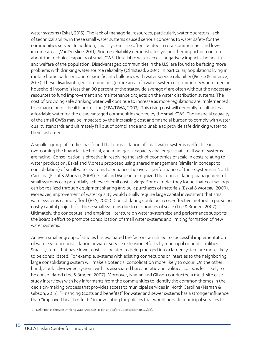water systems (Eskaf, 2015). The lack of managerial resources, particularly water operators' lack of technical ability, in these small water systems caused serious concerns to water safety for the communities served. In addition, small systems are often located in rural communities and lowincome areas (VanDerslice, 2011). Source reliability demonstrates yet another important concern about the technical capacity of small CWS. Unreliable water access negatively impacts the health and welfare of the population. Disadvantaged communities in the U.S. are found to be facing more problems with drinking water source reliability (Olmstead, 2004). In particular, populations living in mobile home parks encounter significant challenges with water service reliability (Pierce & Jimenez, 2015). These disadvantaged communities (entire area of a water system or community where median household income is less than 80 percent of the statewide average)<sup>21</sup> are often without the necessary resources to fund improvement and maintenance projects on the water distribution systems. The cost of providing safe drinking water will continue to increase as more regulations are implemented to enhance public health protection (EPA/DWA, 2003). This rising cost will generally result in less affordable water for the disadvantaged communities served by the small CWS. The financial capacity of the small CWSs may be impacted by the increasing cost and financial burden to comply with water quality standards and ultimately fall out of compliance and unable to provide safe drinking water to their customers.

A smaller group of studies has found that consolidation of small water systems is effective in overcoming the financial, technical, and managerial capacity challenges that small water systems are facing. Consolidation is effective in resolving the lack of economies of scale in costs relating to water production. Eskaf and Moreau proposed using shared management (similar in concept to consolidation) of small water systems to enhance the overall performance of these systems in North Carolina (Eskaf & Moreau, 2009). Eskaf and Moreau recognized that consolidating management of small systems can potentially achieve overall cost savings. For example, they found that cost savings can be realized through equipment sharing and bulk purchases of materials (Eskaf & Moreau, 2009). Moreover, improvement of water quality would usually require large capital investment that small water systems cannot afford (EPA, 2002). Consolidating could be a cost-effective method in pursuing costly capital projects for these small systems due to economies of scale (Lee & Braden, 2007). Ultimately, the conceptual and empirical literature on water system size and performance supports the Board's effort to promote consolidation of small water systems and limiting formation of new water systems.

An even smaller group of studies has evaluated the factors which led to successful implementation of water system consolidation or water service extension efforts by municipal or public utilities. Small systems that have lower costs associated to being merged into a larger system are more likely to be consolidated. For example, systems with existing connections or interties to the neighboring large consolidating system will make a potential consolidation more likely to occur. On the other hand, a publicly-owned system, with its associated bureaucratic and political costs, is less likely to be consolidated (Lee & Braden, 2007). Moreover, Naman and Gibson conducted a multi-site case study interviews with key informants from the communities to identify the common themes in the decision-making process that provides access to municipal services in North Carolina (Naman & Gibson, 2015). "Financing (costs and benefits)" for water and sewer systems has a stronger influence than "improved health effects" in advocating for policies that would provide municipal services to

<sup>21</sup> Definition in the Safe Drinking Water Act, see Health and Safety Code section 116275(ab).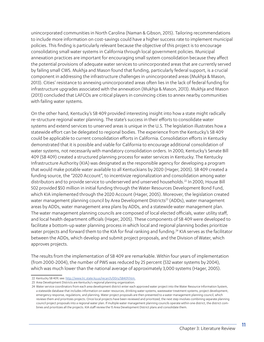unincorporated communities in North Carolina (Naman & Gibson, 2015). Tailoring recommendations to include more information on cost-savings could have a higher success rate to implement municipal policies. This finding is particularly relevant because the objective of this project is to encourage consolidating small water systems in California through local government policies. Municipal annexation practices are important for encouraging small system consolidation because they affect the potential provisions of adequate water services to unincorporated areas that are currently served by failing small CWS. Mukhja and Mason found that funding, particularly federal support, is a crucial component in addressing the infrastructure challenges in unincorporated areas (Mukhja & Mason, 2013). Cities' resistance to annexing unincorporated areas often lies in the lack of federal funding for infrastructure upgrades associated with the annexation (Mukhja & Mason, 2013). Mukhja and Mason (2013) concluded that LAFCOs are critical players in convincing cities to annex nearby communities with failing water systems.

On the other hand, Kentucky's SB 409 provided interesting insight into how a state might radically re-structure regional water planning. The state's success in their efforts to consolidate water systems and extend services to unserved areas is unique in the U.S. The legislation illustrates how a statewide effort can be delegated to regional bodies. The experience from the Kentucky's SB 409 could be applicable to current consolidation efforts in California. Consolidation efforts in Kentucky demonstrated that it is possible and viable for California to encourage additional consolidation of water systems, not necessarily with mandatory consolidation orders. In 2000, Kentucky's Senate Bill 409 (SB 409) created a structured planning process for water services in Kentucky. The Kentucky Infrastructure Authority (KIA) was designated as the responsible agency for developing a program that would make potable water available to all Kentuckians by 2020 (Hager, 2005). SB 409 created a funding source, the "2020 Account", to incentivize regionalization and consolidation among water distributors and to provide service to underserved and unserved households.22 In 2000, House Bill 502 provided \$50 million in initial funding through the Water Resources Development Bond Fund, which KIA implemented through the 2020 Account (Hager, 2005). Moreover, the legislation created water management planning council by Area Development Districts<sup>23</sup> (ADDs), water management areas by ADDs, water management area plans by ADDs, and a statewide water management plan. The water management planning councils are composed of local elected officials, water utility staff, and local health department officials (Hager, 2005). These components of SB 409 were developed to facilitate a bottom-up water planning process in which local and regional planning bodies prioritize water projects and forward them to the KIA for final ranking and funding.<sup>24</sup> KIA serves as the facilitator between the ADDs, which develop and submit project proposals, and the Division of Water, which approves projects.

The results from the implementation of SB 409 are remarkable. Within four years of implementation (from 2000-2004), the number of PWS was reduced by 25 percent (532 water systems by 2004), which was much lower than the national average of approximately 3,000 systems (Hager, 2005).

<sup>22</sup> Kentucky SB 409, see: http://www.lrc.state.ky.us/recarch/00rs/SB409.htm.

<sup>23</sup> Area Development Districts are Kentucky's regional planning organization.

<sup>24</sup> Water service coordinators from each area development district enter each approved water project into the Water Resource Information System, a statewide database that includes information on water resources, drinking water systems, wastewater treatment systems, project development, emergency response, regulations, and planning. Water project proposals are then presented to a water management planning council, which reviews them and prioritizes projects. Once local projects have been reviewed and prioritized, the next step involves combining separate planning council project proposals into a regional water plan. If multiple water management planning councils operate within one district, the district combines and prioritizes all the projects. KIA staff review the 15 Area Development District plans and consolidate them.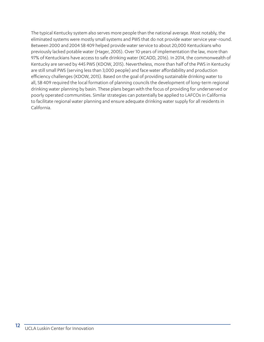The typical Kentucky system also serves more people than the national average. Most notably, the eliminated systems were mostly small systems and PWS that do not provide water service year-round. Between 2000 and 2004 SB 409 helped provide water service to about 20,000 Kentuckians who previously lacked potable water (Hager, 2005). Over 10 years of implementation the law, more than 97% of Kentuckians have access to safe drinking water (KCADD, 2016). In 2014, the commonwealth of Kentucky are served by 445 PWS (KDOW, 2015). Nevertheless, more than half of the PWS in Kentucky are still small PWS (serving less than 3,000 people) and face water affordability and production efficiency challenges (KDOW, 2015). Based on the goal of providing sustainable drinking water to all, SB 409 required the local formation of planning councils the development of long-term regional drinking water planning by basin. These plans began with the focus of providing for underserved or poorly operated communities. Similar strategies can potentially be applied to LAFCOs in California to facilitate regional water planning and ensure adequate drinking water supply for all residents in California.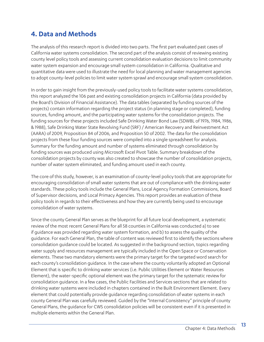### **4. Data and Methods**

The analysis of this research report is divided into two parts. The first part evaluated past cases of California water systems consolidation. The second part of the analysis consist of reviewing existing county level policy tools and assessing current consolidation evaluation decisions to limit community water system expansion and encourage small system consolidation in California. Qualitative and quantitative data were used to illustrate the need for local planning and water management agencies to adopt county-level policies to limit water system sprawl and encourage small system consolidation.

In order to gain insight from the previously-used policy tools to facilitate water systems consolidation, this report analyzed the 106 past and existing consolidation projects in California (data provided by the Board's Division of Financial Assistance). The data tables (separated by funding sources of the projects) contain information regarding the project status (in planning stage or completed), funding sources, funding amount, and the participating water systems for the consolidation projects. The funding sources for these projects included Safe Drinking Water Bond Law (SDWBL of 1976, 1984, 1986, & 1988), Safe Drinking Water State Revolving Fund (SRF) / American Recovery and Reinvestment Act (AARA) of 2009, Proposition 84 of 2006, and Proposition 50 of 2002. The data for the consolidation projects from these four funding sources were compiled into a single spreadsheet for analysis. Summary for the funding amount and number of systems eliminated through consolidation by funding sources was produced using Microsoft Excel Pivot Table. Summary breakdown of the consolidation projects by county was also created to showcase the number of consolidation projects, number of water system eliminated, and funding amount used in each county.

The core of this study, however, is an examination of county-level policy tools that are appropriate for encouraging consolidation of small water systems that are out of compliance with the drinking water standards. These policy tools include the General Plans, Local Agency Formation Commissions, Board of Supervisor decisions, and Local Primacy Agencies. This report provides an evaluation of these policy tools in regards to their effectiveness and how they are currently being used to encourage consolidation of water systems.

Since the county General Plan serves as the blueprint for all future local development, a systematic review of the most recent General Plans for all 58 counties in California was conducted a) to see if guidance was provided regarding water system formation, and b) to assess the quality of the guidance. For each General Plan, the table of content was reviewed first to identify the sections where consolidation guidance could be located. As suggested in the background section, topics regarding water supply and resources management are typically included in the Open Space or Conservation elements. These two mandatory elements were the primary target for the targeted word search for each county's consolidation guidance. In the case where the county voluntarily adopted an Optional Element that is specific to drinking water services (i.e. Public Utilities Element or Water Resources Element), the water-specific optional element was the primary target for the systematic review for consolidation guidance. In a few cases, the Public Facilities and Services sections that are related to drinking water systems were included in chapters contained in the Built Environment Element. Every element that could potentially provide guidance regarding consolidation of water systems in each county General Plan was carefully reviewed. Guided by the "Internal Consistency" principle of county General Plans, the guidance for CWS consolidation policies will be consistent even if it is presented in multiple elements within the General Plan.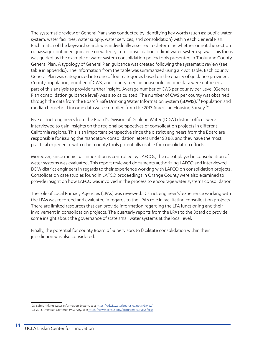The systematic review of General Plans was conducted by identifying key words (such as: public water system, water facilities, water supply, water services, and consolidation) within each General Plan. Each match of the keyword search was individually assessed to determine whether or not the section or passage contained guidance on water system consolidation or limit water system sprawl. This focus was guided by the example of water system consolidation policy tools presented in Tuolumne County General Plan. A typology of General Plan guidance was created following the systematic review (see table in appendix). The information from the table was summarized using a Pivot Table. Each county General Plan was categorized into one of four categories based on the quality of guidance provided. County population, number of CWS, and county median household income data were gathered as part of this analysis to provide further insight. Average number of CWS per county per Level (General Plan consolidation guidance level) was also calculated. The number of CWS per county was obtained through the data from the Board's Safe Drinking Water Information System (SDWIS).<sup>25</sup> Population and median household income data were compiled from the 2013 American Housing Survey.<sup>26</sup>

Five district engineers from the Board's Division of Drinking Water (DDW) district offices were interviewed to gain insights on the regional perspectives of consolidation projects in different California regions. This is an important perspective since the district engineers from the Board are responsible for issuing the mandatory consolidation letters under SB 88, and they have the most practical experience with other county tools potentially usable for consolidation efforts.

Moreover, since municipal annexation is controlled by LAFCOs, the role it played in consolidation of water systems was evaluated. This report reviewed documents authorizing LAFCO and interviewed DDW district engineers in regards to their experience working with LAFCO on consolidation projects. Consolidation case studies found in LAFCO proceedings in Orange County were also examined to provide insight on how LAFCO was involved in the process to encourage water systems consolidation.

The role of Local Primacy Agencies (LPAs) was reviewed. District engineer's' experience working with the LPAs was recorded and evaluated in regards to the LPA's role in facilitating consolidation projects. There are limited resources that can provide information regarding the LPA functioning and their involvement in consolidation projects. The quarterly reports from the LPAs to the Board do provide some insight about the governance of state small water systems at the local level.

Finally, the potential for county Board of Supervisors to facilitate consolidation within their jurisdiction was also considered.

<sup>25</sup> Safe Drinking Water Information System, see: https://sdwis.waterboards.ca.gov/PDWW/

<sup>26</sup> 2013 American Community Survey, see: https://www.census.gov/programs-surveys/acs/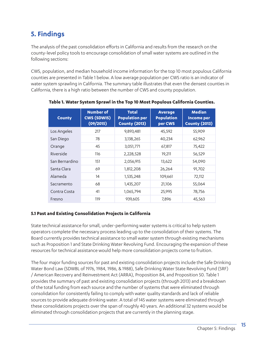### **5. Findings**

The analysis of the past consolidation efforts in California and results from the research on the county-level policy tools to encourage consolidation of small water systems are outlined in the following sections:

CWS, population, and median household income information for the top 10 most populous California counties are presented in Table 1 below. A low average population per CWS ratio is an indicator of water system sprawling in California. The summary table illustrates that even the densest counties in California, there is a high ratio between the number of CWS and county population.

| <b>County</b>  | <b>Number of</b><br><b>CWS (SDWIS)</b><br>(09/2015) | <b>Total</b><br><b>Population per</b><br><b>County (2013)</b> | <b>Average</b><br><b>Population</b><br>per CWS | <b>Median</b><br>Income per<br><b>County (2013)</b> |
|----------------|-----------------------------------------------------|---------------------------------------------------------------|------------------------------------------------|-----------------------------------------------------|
| Los Angeles    | 217                                                 | 9,893,481                                                     | 45,592                                         | 55,909                                              |
| San Diego      | 78                                                  | 3,138,265                                                     | 40,234                                         | 62,962                                              |
| Orange         | 45                                                  | 3,051,771                                                     | 67,817                                         | 75,422                                              |
| Riverside      | 116                                                 | 2,228,528                                                     | 19,211                                         | 56,529                                              |
| San Bernardino | 151                                                 | 2,056,915                                                     | 13,622                                         | 54,090                                              |
| Santa Clara    | 69                                                  | 1,812,208                                                     | 26,264                                         | 91,702                                              |
| Alameda        | 14                                                  | 1,535,248                                                     | 109,661                                        | 72,112                                              |
| Sacramento     | 68                                                  | 1,435,207                                                     | 21,106                                         | 55,064                                              |
| Contra Costa   | 41                                                  | 1,065,794                                                     | 25,995                                         | 78,756                                              |
| Fresno         | 119                                                 | 939,605                                                       | 7,896                                          | 45,563                                              |

#### **Table 1. Water System Sprawl in the Top 10 Most Populous California Counties.**

#### **5.1 Past and Existing Consolidation Projects in California**

State technical assistance for small, under-performing water systems is critical to help system operators complete the necessary process leading up to the consolidation of their systems. The Board currently provides technical assistance to small water system through existing mechanisms such as Proposition 1 and State Drinking Water Revolving Fund. Encouraging the expansion of these resources for technical assistance would help more consolidation projects come to fruition.

The four major funding sources for past and existing consolidation projects include the Safe Drinking Water Bond Law (SDWBL of 1976, 1984, 1986, & 1988), Safe Drinking Water State Revolving Fund (SRF) / American Recovery and Reinvestment Act (ARRA), Proposition 84, and Proposition 50. Table 1 provides the summary of past and existing consolidation projects (through 2013) and a breakdown of the total funding from each source and the number of systems that were eliminated through consolidation for consistently failing to comply with water quality standards and lack of reliable sources to provide adequate drinking water. A total of 145 water systems were eliminated through these consolidations projects over the span of roughly 40 years. An additional 32 systems would be eliminated through consolidation projects that are currently in the planning stage.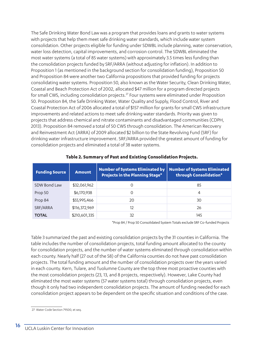The Safe Drinking Water Bond Law was a program that provides loans and grants to water systems with projects that help them meet safe drinking water standards, which include water system consolidation. Other projects eligible for funding under SDWBL include planning, water conservation, water loss detection, capital improvements, and corrosion control. The SDWBL eliminated the most water systems (a total of 85 water systems) with approximately 3.5 times less funding than the consolidation projects funded by SRF/ARRA (without adjusting for inflation). In addition to Proposition 1 (as mentioned in the background section for consolidation funding), Proposition 50 and Proposition 84 were another two California propositions that provided funding for projects consolidating water systems. Proposition 50, also known as the Water Security, Clean Drinking Water, Coastal and Beach Protection Act of 2002, allocated \$47 million for a program directed projects for small CWS, including consolidation projects.<sup>27</sup> Four systems were eliminated under Proposition 50. Proposition 84, the Safe Drinking Water, Water Quality and Supply, Flood Control, River and Coastal Protection Act of 2006 allocated a total of \$157 million for grants for small CWS infrastructure improvements and related actions to meet safe drinking water standards. Priority was given to projects that address chemical and nitrate contaminants and disadvantaged communities (CDPH, 2013). Proposition 84 removed a total of 50 CWS through consolidation. The American Recovery and Reinvestment Act (ARRA) of 2009 allocated \$2 billion to the State Revolving Fund (SRF) for drinking water infrastructure improvement. SRF/ARRA provided the greatest amount of funding for consolidation projects and eliminated a total of 38 water systems.

| <b>Funding Source</b> | <b>Amount</b> | <b>Number of Systems Eliminated by</b><br><b>Projects in the Planning Stage*</b> | <b>Number of Systems Eliminated</b><br>through Consolidation* |
|-----------------------|---------------|----------------------------------------------------------------------------------|---------------------------------------------------------------|
| SDW Bond Law          | \$32,061,962  |                                                                                  | 85                                                            |
| Prop 50               | \$6,170,938   | Ω                                                                                | 4                                                             |
| Prop 84               | \$55,995,466  | 20                                                                               | 30                                                            |
| SRF/ARRA              | \$116,372,969 | 12                                                                               | 26                                                            |
| <b>TOTAL</b>          | \$210,601,335 | 32                                                                               | 145                                                           |

#### **Table 2. Summary of Past and Existing Consolidation Projects.**

\*Prop 84 / Prop 50 Consolidated System Totals exclude SRF Co-funded Projects

Table 3 summarized the past and existing consolidation projects by the 31 counties in California. The table includes the number of consolidation projects, total funding amount allocated to the county for consolidation projects, and the number of water systems eliminated through consolidation within each county. Nearly half (27 out of the 58) of the California counties do not have past consolidation projects. The total funding amount and the number of consolidation projects over the years varied in each county. Kern, Tulare, and Tuolumne County are the top three most proactive counties with the most consolidation projects (23, 13, and 8 projects, respectively). However, Lake County had eliminated the most water systems (57 water systems total) through consolidation projects, even though it only had two independent consolidation projects. The amount of funding needed for each consolidation project appears to be dependent on the specific situation and conditions of the case.

<sup>27</sup> Water Code Section 79500, et seq.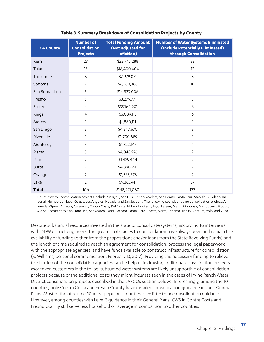| <b>CA County</b> | <b>Number of</b><br><b>Consolidation</b><br><b>Projects</b> | <b>Total Funding Amount</b><br>(Not adjusted for<br>inflation) | <b>Number of Water Systems Eliminated</b><br>(Include Potentially Eliminated)<br>through Consolidation |
|------------------|-------------------------------------------------------------|----------------------------------------------------------------|--------------------------------------------------------------------------------------------------------|
| Kern             | 23                                                          | \$22,745,288                                                   | 33                                                                                                     |
| Tulare           | 13                                                          | \$18,400,404                                                   | 12                                                                                                     |
| Tuolumne         | 8                                                           | \$2,979,071                                                    | 8                                                                                                      |
| Sonoma           | $\overline{7}$                                              | \$6,560,388                                                    | 10                                                                                                     |
| San Bernardino   | 5                                                           | \$14,523,006                                                   | 4                                                                                                      |
| Fresno           | 5                                                           | \$3,279,771                                                    | 5                                                                                                      |
| Sutter           | $\overline{4}$                                              | \$35,164,901                                                   | 6                                                                                                      |
| Kings            | $\overline{4}$                                              | \$5,089,113                                                    | 6                                                                                                      |
| Merced           | 3                                                           | \$1,860,111                                                    | 3                                                                                                      |
| San Diego        | 3                                                           | \$4,343,670                                                    | 3                                                                                                      |
| Riverside        | 3                                                           | \$1,700,889                                                    | 3                                                                                                      |
| Monterey         | 3                                                           | \$1,322,147                                                    | $\overline{4}$                                                                                         |
| Placer           | 3                                                           | \$4,048,976                                                    | $\overline{2}$                                                                                         |
| Plumas           | $\overline{2}$                                              | \$1,429,444                                                    | $\overline{2}$                                                                                         |
| <b>Butte</b>     | $\overline{2}$                                              | \$4,890,291                                                    | $\overline{2}$                                                                                         |
| Orange           | $\overline{2}$                                              | \$1,563,378                                                    | $\overline{2}$                                                                                         |
| Lake             | 2                                                           | \$9,385,411                                                    | 57                                                                                                     |
| Total            | 106                                                         | \$148,221,080                                                  | 177                                                                                                    |

#### **Table 3. Summary Breakdown of Consolidation Projects by County.**

Counties with 1 consolidation projects include: Siskiyou, San Luis Obispo, Madera, San Benito, Santa Cruz, Stanislaus, Solano, Imperial, Humboldt, Napa, Colusa, Los Angeles, Nevada, and San Joaquin. The following counties had no consolidation project: Alameda, Alpine, Amador, Calaveras, Contra Costa, Del Norte, Eldorado, Glenn, Inyo, Lassen, Marin, Mariposa, Mendocino, Modoc, Mono, Sacramento, San Francisco, San Mateo, Santa Barbara, Santa Clara, Shasta, Sierra, Tehama, Trinity, Ventura, Yolo, and Yuba.

Despite substantial resources invested in the state to consolidate systems, according to interviews with DDW district engineers, the greatest obstacles to consolidation have always been and remain the availability of funding (either from the propositions and/or loans from the State Revolving Funds) and the length of time required to reach an agreement for consolidation, process the legal paperwork with the appropriate agencies, and have funds available to construct infrastructure for consolidation (S. Williams, personal communication, February 13, 2017). Providing the necessary funding to relieve the burden of the consolidation agencies can be helpful in drawing additional consolidation projects. Moreover, customers in the to-be-subsumed water systems are likely unsupportive of consolidation projects because of the additional costs they might incur (as seen in the cases of Irvine Ranch Water District consolidation projects described in the LAFCOs section below). Interestingly, among the 10 counties, only Contra Costa and Fresno County have detailed consolidation guidance in their General Plans. Most of the other top 10 most populous counties have little to no consolidation guidance. However, among counties with Level 3 guidance in their General Plans, CWS in Contra Costa and Fresno County still serve less household on average in comparison to other counties.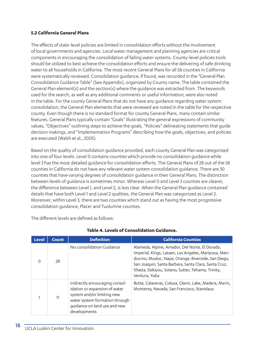#### **5.2 California General Plans**

The effects of state-level policies are limited in consolidation efforts without the involvement of local governments and agencies. Local water management and planning agencies are critical components in encouraging the consolidation of failing water systems. County-level policies tools should be utilized to best achieve the consolidation efforts and ensure the delivering of safe drinking water to all households in California. The most recent General Plans for all 58 counties in California were systematically reviewed. Consolidation guidance, if found, was recorded in the "General Plan Consolidation Guidance Table" (See Appendix), organized by County name. The table contained the General Plan element(s) and the section(s) where the guidance was extracted from. The keywords used for the search, as well as any additional comments or useful information, were also noted in the table. For the county General Plans that do not have any guidance regarding water system consolidation, the General Plan elements that were reviewed are noted in the table for the respective county. Even though there is no standard format for county General Plans, many contain similar features. General Plans typically contain "Goals" illustrating the general expressions of community values, "Objectives" outlining steps to achieve the goals, "Policies" delineating statements that guide decision makings, and "Implementation Programs" describing how the goals, objectives, and policies are executed (Walsh et al., 2005).

Based on the quality of consolidation guidance provided, each county General Plan was categorized into one of four levels. Level 0 contains counties which provide no consolidation guidance while level 3 has the most detailed guidance for consolidation efforts. The General Plans of 28 out of the 58 counties in California do not have any relevant water system consolidation guidance. There are 30 counties that have varying degrees of consolidation guidance in their General Plans. The distinction between levels of guidance is sometimes minor. Whereas Level 0 and Level 3 counties are clearer, the difference between Level 1, and Level 2, is less clear. When the General Plan guidance contained details that have both Level 1 and Level 2 qualities, the General Plan was categorized as Level 2. Moreover, within Level 3, there are two counties which stand out as having the most progressive consolidation guidance, Placer and Tuolumne counties.

The different levels are defined as follows:

| <b>Level</b> | <b>Count</b> | <b>Definition</b>                                                                                                                                                               | <b>California Counties</b>                                                                                                                                                                                                                                                                  |
|--------------|--------------|---------------------------------------------------------------------------------------------------------------------------------------------------------------------------------|---------------------------------------------------------------------------------------------------------------------------------------------------------------------------------------------------------------------------------------------------------------------------------------------|
| $\Omega$     | 28           | No consolidation Guidance                                                                                                                                                       | Alameda, Alpine, Amador, Del Norte, El Dorado,<br>Imperial, Kings, Lassen, Los Angeles, Mariposa, Men-<br>docino, Modoc, Napa, Orange, Riverside, San Diego,<br>San Joaquin, Santa Barbara, Santa Clara, Santa Cruz,<br>Shasta, Siskiyou, Solano, Sutter, Tehama, Trinity,<br>Ventura, Yuba |
|              | 11           | Indirectly encouraging consol-<br>idation or expansion of water<br>system and/or limiting new<br>water system formation through<br>guidance on land use and new<br>developments | Butte, Calaveras, Colusa, Glenn, Lake, Madera, Marin,<br>Monterey, Nevada, San Francisco, Stanislaus                                                                                                                                                                                        |

#### **Table 4. Levels of Consolidation Guidance.**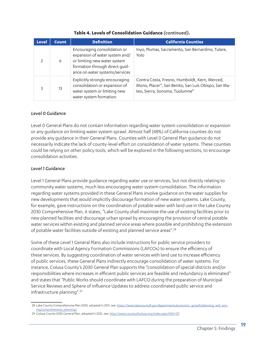| <b>Level</b>  | <b>Count</b> | <b>Definition</b>                                                                                                                                                  | <b>California Counties</b>                                                                                                             |
|---------------|--------------|--------------------------------------------------------------------------------------------------------------------------------------------------------------------|----------------------------------------------------------------------------------------------------------------------------------------|
| $\mathcal{P}$ | 6            | Encouraging consolidation or<br>expansion of water system and/<br>or limiting new water system<br>formation through direct quid-<br>ance on water systems/services | Inyo, Plumas, Sacramento, San Bernardino, Tulare,<br>Yolo                                                                              |
| 3             | 13           | Explicitly strongly encouraging<br>consolidation or expansion of<br>water system or limiting new<br>water system formation.                                        | Contra Costa, Fresno, Humboldt, Kern, Merced,<br>Mono, Placer*, San Benito, San Luis Obispo, San Ma-<br>teo, Sierra, Sonoma, Tuolumne* |

#### **Table 4. Levels of Consolidation Guidance** *(continued)***.**

#### *Level 0 Guidance*

Level 0 General Plans do not contain information regarding water system consolidation or expansion or any guidance on limiting water system sprawl. Almost half (48%) of California counties do not provide any guidance in their General Plans. Counties with Level 0 General Plan guidance do not necessarily indicate the lack of county-level effort on consolidation of water systems. These counties could be relying on other policy tools, which will be explored in the following sections, to encourage consolidation activities.

#### *Level 1 Guidance*

Level 1 General Plans provide guidance regarding water use or services, but not directly relating to community water systems, much less encouraging water system consolidation. The information regarding water systems provided in these General Plans involve guidance on the water supplies for new developments that would implicitly discourage formation of new water systems. Lake County, for example, gave instructions on the coordination of potable water with land use in the Lake County 2030 Comprehensive Plan, it states, "Lake County shall maximize the use of existing facilities prior to new planned facilities and discourage urban sprawl by encouraging the provision of central potable water services within existing and planned service areas where possible and prohibiting the extension of potable water facilities outside of existing and planned service areas".28

Some of these Level 1 General Plans also include instructions for public service providers to coordinate with Local Agency Formation Commissions (LAFCOs) to ensure the efficiency of these services. By suggesting coordination of water services with land use to increase efficiency of public services, these General Plans indirectly encourage consolidation of water systems. For instance, Colusa County's 2030 General Plan supports the "consolidation of special districts and/or responsibilities where increases in efficient public services are feasible and redundancy is eliminated" and states that "Public Works should coordinate with LAFCO during the preparation of Municipal Service Reviews and Sphere of Influence Updates to address coordinated public service and infrastructure planning".<sup>29</sup>

<sup>28</sup> Lake County Comprehensive Plan 2030, adopted in 2011, see: https://www.lakecountyfl.gov/departments/economic\_growth/planning\_and\_zoning/comprehensive\_planning/

<sup>29</sup> Colusa County 2030 General Plan, adopted in 2012, see: http://www.countyofcolusa.org/index.aspx?NID=137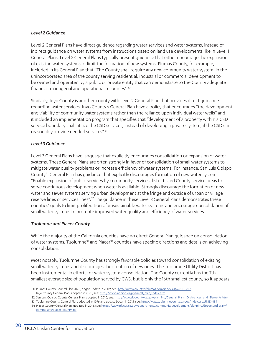#### *Level 2 Guidance*

Level 2 General Plans have direct guidance regarding water services and water systems, instead of indirect guidance on water systems from instructions based on land use developments like in Level 1 General Plans. Level 2 General Plans typically present guidance that either encourage the expansion of existing water systems or limit the formation of new systems. Plumas County, for example, included in its General Plan that "The County shall require any new community water system, in the unincorporated area of the county serving residential, industrial or commercial development to be owned and operated by a public or private entity that can demonstrate to the County adequate financial, managerial and operational resources".30

Similarly, Inyo County is another county with Level 2 General Plan that provides direct guidance regarding water services. Inyo County's General Plan have a policy that encourages "the development and viability of community water systems rather than the reliance upon individual water wells" and it included an implementation program that specifies that "development of a property within a CSD service boundary shall utilize the CSD services, instead of developing a private system, if the CSD can reasonably provide needed services".31

#### *Level 3 Guidance*

Level 3 General Plans have language that explicitly encourages consolidation or expansion of water systems. These General Plans are often strongly in favor of consolidation of small water systems to mitigate water quality problems or increase efficiency of water systems. For instance, San Luis Obispo County's General Plan has guidance that explicitly discourages formation of new water systems: "Enable expansion of public services by community services districts and County service areas to serve contiguous development when water is available. Strongly discourage the formation of new water and sewer systems serving urban development at the fringe and outside of urban or village reserve lines or services lines".32 The guidance in these Level 3 General Plans demonstrates these counties' goals to limit proliferation of unsustainable water systems and encourage consolidation of small water systems to promote improved water quality and efficiency of water services.

#### *Tuolumne and Placer County*

While the majority of the California counties have no direct General Plan guidance on consolidation of water systems, Tuolumne<sup>33</sup> and Placer<sup>34</sup> counties have specific directions and details on achieving consolidation.

Most notably, Tuolumne County has strongly favorable policies toward consolidation of existing small water systems and discourages the creation of new ones. The Tuolumne Utility District has been instrumental in efforts for water system consolidation. The County currently has the 7th smallest average size of population served by CWS, but is only the 16th smallest county, so it appears

- 33 Tuolumne County General Plan, adopted in 1996 and update began in 2015, see: http://www.tuolumnecounty.ca.gov/index.aspx?NID=184
- 34 Placer County General Plan, updated in 2013, see: https://www.placer.ca.gov/departments/communitydevelopment/planning/documentlibrary/ commplans/placer-county-gp

<sup>30</sup> Plumas County General Plan 2020, began update in 2009, see: http://www.countyofplumas.com/index.aspx?NID=2116

<sup>31</sup> Inyo County General Plan, adopted in 2001, see: http://inyoplanning.org/general\_plan/index.htm

<sup>32</sup> San Luis Obispo County General Plan, adopted in 2010, see: http://www.slocounty.ca.gov/planning/General\_Plan\_Ordinances\_and\_Elements.htm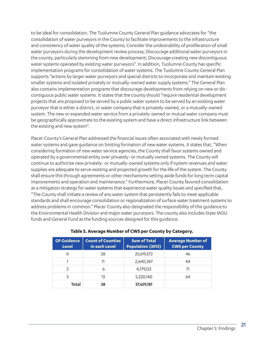to be ideal for consolidation. The Tuolumne County General Plan guidance advocates for "the consolidation of water purveyors in the County to facilitate improvements to the infrastructure and consistency of water quality of the systems; Consider the undesirability of proliferation of small water purveyors during the development review process; Discourage additional water purveyors in the county, particularly stemming from new development; Discourage creating new discontiguous water systems operated by existing water purveyors". In addition, Tuolumne County has specific implementation programs for consolidation of water systems. The Tuolumne County General Plan supports "actions by larger water purveyors and special districts to incorporate and maintain existing smaller systems and isolated privately or mutually-owned water supply systems." The General Plan also contains implementation programs that discourage developments from relying on new or discontiguous public water systems. It states that the county should "require residential development projects that are proposed to be served by a public water system to be served by an existing water purveyor that is either a district, or water company that is privately-owned, or a mutually-owned system. The new or expanded water service from a privately-owned or mutual water company must be geographically approximate to the existing system and have a direct infrastructure link between the existing and new system".

Placer County's General Plan addressed the financial issues often associated with newly formed water systems and gave guidance on limiting formation of new water systems. It states that, "When considering formation of new water service agencies, the County shall favor systems owned and operated by a governmental entity over privately- or mutually owned systems. The County will continue to authorize new privately- or mutually-owned systems only if system revenues and water supplies are adequate to serve existing and projected growth for the life of the system. The County shall ensure this through agreements or other mechanisms setting aside funds for long term capital improvements and operation and maintenance." Furthermore, Placer County favored consolidation as a mitigation strategy for water systems that experience water quality issues and specified that, "The County shall initiate a review of any water system that persistently fails to meet applicable standards and shall encourage consolidation or regionalization of surface water treatment systems to address problems in common." Placer County also designated the responsibility of this guidance to the Environmental Health Division and major water purveyors. The county also includes State MOU funds and General Fund as the funding sources designed for this guidance.

| <b>GP Guidance</b><br><b>Level</b> | <b>Count of Counties</b><br>in each Level | <b>Sum of Total</b><br><b>Population (2013)</b> | <b>Average Number of</b><br><b>CWS per County</b> |
|------------------------------------|-------------------------------------------|-------------------------------------------------|---------------------------------------------------|
|                                    | 28                                        | 25,619,572                                      | 46                                                |
|                                    | 11                                        | 2,640,347                                       | 44                                                |
| っ                                  | 6                                         |                                                 | 71                                                |
| 3                                  | 13                                        | 5,220,140                                       | 64                                                |
| Total                              | 58                                        | 37,659,181                                      |                                                   |

#### **Table 5. Average Number of CWS per County by Category.**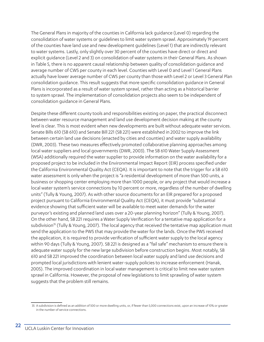The General Plans in majority of the counties in California lack guidance (Level 0) regarding the consolidation of water systems or guidelines to limit water system sprawl. Approximately 19 percent of the counties have land use and new development guidelines (Level 1) that are indirectly relevant to water systems. Lastly, only slightly over 30 percent of the counties have direct or direct and explicit guidance (Level 2 and 3) on consolidation of water systems in their General Plans. As shown in Table 5, there is no apparent causal relationship between quality of consolidation guidance and average number of CWS per county in each level. Counties with Level 0 and Level 1 General Plans actually have lower average number of CWS per county than those with Level 2 or Level 3 General Plan consolidation guidance. This result suggests that more specific consolidation guidance in General Plans is incorporated as a result of water system sprawl, rather than acting as a historical barrier to system sprawl. The implementation of consolidation projects also seem to be independent of consolidation guidance in General Plans.

Despite these different county tools and responsibilities existing on paper, the practical disconnect between water resource management and land use development decision making at the county level is clear. This is most evident when new developments are built without adequate water services. Senate Bills 610 (SB 610) and Senate Bill 221 (SB 221) were established in 2002 to improve the link between certain land use decisions (enacted by cities and counties) and water supply availability (DWR, 2003). These two measures effectively promoted collaborative planning approaches among local water suppliers and local governments (DWR, 2003). The SB 610 Water Supply Assessment (WSA) additionally required the water supplier to provide information on the water availability for a proposed project to be included in the Environmental Impact Report (EIR) process specified under the California Environmental Quality Act (CEQA). It is important to note that the trigger for a SB 610 water assessment is only when the project is "a residential development of more than 500 units, a business or shopping center employing more than 1000 people, or any project that would increase a local water system's service connections by 10 percent or more, regardless of the number of dwelling units" (Tully & Young, 2007). As with other source documents for an EIR prepared for a proposed project pursuant to California Environmental Quality Act (CEQA), it must provide "substantial evidence showing that sufficient water will be available to meet water demands for the water purveyor's existing and planned land uses over a 20-year planning horizon" (Tully & Young, 2007). On the other hand, SB 221 requires a Water Supply Verification for a tentative map application for a subdivision<sup>35</sup> (Tully & Young, 2007). The local agency that received the tentative map application must send the application to the PWS that may provide the water for the lands. Once the PWS received the application, it is required to provide verification of sufficient water supply to the local agency within 90 days (Tully & Young, 2007). SB 221 is designed as a "fail safe" mechanism to ensure there is adequate water supply for the new large subdivision before construction begins. Most notably, SB 610 and SB 221 improved the coordination between local water supply and land use decisions and prompted local jurisdictions with lenient water-supply policies to increase enforcement (Hanak, 2005). The improved coordination in local water management is critical to limit new water system sprawl in California. However, the proposal of new legislations to limit sprawling of water system suggests that the problem still remains.

<sup>35</sup> A subdivision is defined as an addition of 500 or more dwelling units, or, if fewer than 5,000 connections exist, upon an increase of 10% or greater in the number of service connections.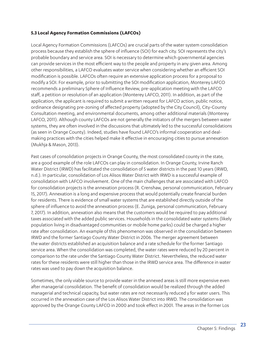#### **5.3 Local Agency Formation Commissions (LAFCOs)**

Local Agency Formation Commissions (LAFCOs) are crucial parts of the water system consolidation process because they establish the sphere of influence (SOI) for each city. SOI represents the city's probable boundary and service area. SOI is necessary to determine which governmental agencies can provide services in the most efficient way to the people and property in any given area. Among other responsibilities, a LAFCO evaluates water service when considering whether an efficient SOI modification is possible. LAFCOs often require an extensive application process for a proposal to modify a SOI. For example, prior to submitting the SOI modification application, Monterey LAFCO recommends a preliminary Sphere of Influence Review, pre-application meeting with the LAFCO staff, a petition or resolution of an application (Monterey LAFCO, 2011). In addition, as part of the application, the applicant is required to submit a written request for LAFCO action, public notice, ordinance designating pre-zoning of affected property (adopted by the City Council), City-County Consultation meeting, and environmental documents, among other additional materials (Monterey LAFCO, 2011). Although county LAFCOs are not generally the initiators of the mergers between water systems, they are often involved in the discussions that ultimately led to the successful consolidations (as seen in Orange County). Indeed, studies have found LAFCO's informal cooperation and dealmaking practices with the cities helped make it effective in encouraging cities to pursue annexation (Mukhja & Mason, 2013).

Past cases of consolidation projects in Orange County, the most consolidated county in the state, are a good example of the role LAFCOs can play in consolidation. In Orange County, Irvine Ranch Water District (IRWD) has facilitated the consolidation of 5 water districts in the past 10 years (IRWD, n.d.). In particular, consolidation of Los Alisos Water District with IRWD is a successful example of consolidation with LAFCO involvement. One of the main challenges that are associated with LAFCO for consolidation projects is the annexation process (R. Crenshaw, personal communication, February 15, 2017). Annexation is a long and expensive process that would potentially create financial burden for residents. There is evidence of small water systems that are established directly outside of the sphere of influence to avoid the annexation process (E. Zuniga, personal communication, February 7, 2017). In addition, annexation also means that the customers would be required to pay additional taxes associated with the added public services. Households in the consolidated water systems (likely population living in disadvantaged communities or mobile home parks) could be charged a higher rate after consolidation. An example of this phenomenon was observed in the consolidation between IRWD and the former Santiago County Water District in 2006. The merger agreement between the water districts established an acquisition balance and a rate schedule for the former Santiago service area. When the consolidation was completed, the water rates were reduced by 20 percent in comparison to the rate under the Santiago County Water District. Nevertheless, the reduced water rates for these residents were still higher than those in the IRWD service area. The difference in water rates was used to pay down the acquisition balance.

Sometimes, the only viable source to provide water in the annexed areas is still more expensive even after managerial consolidation. The benefit of consolidation would be realized through the added managerial and technical capacity, but water rates are not necessarily reduced y for water users. This occurred in the annexation case of the Los Alisos Water District into IRWD. The consolidation was approved by the Orange County LAFCO in 2000 and took effect in 2001. The areas in the former Los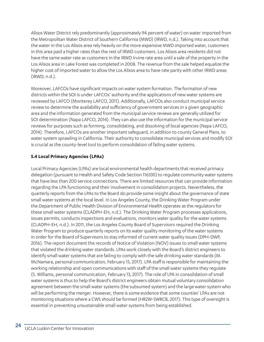Alisos Water District rely predominantly (approximately 94 percent of water) on water imported from the Metropolitan Water District of Southern California (MWD) (IRWD, n.d.). Taking into account that the water in the Los Alisos area rely heavily on the more expensive MWD imported water, customers in this area paid a higher rates than the rest of IRWD customers. Los Alisos area residents did not have the same water rate as customers in the IRWD Irvine rate area until a sale of the property in the Los Alisos area in Lake Forest was completed in 2008. The revenue from the sale helped equalize the higher cost of imported water to allow the Los Alisos area to have rate parity with other IRWD areas (IRWD, n.d.).

Moreover, LAFCOs have significant impacts on water system formation. The formation of new districts within the SOI is under LAFCOs' authority and the applications of new water systems are reviewed by LAFCO (Monterey LAFCO, 2011). Additionally, LAFCOs also conduct municipal service review to determine the availability and sufficiency of government services in a given geographic area and the information generated from the municipal service reviews are generally utilized for SOI determination (Napa LAFCO, 2014). They can also use the information for the municipal service reviews for purposes such as forming, consolidating, and dissolving of local agencies (Napa LAFCO, 2014). Therefore, LAFCOs are another important safeguard, in addition to county General Plans, to water system sprawling in California. Their authority to consolidate municipal services and modify SOI is crucial as the county-level tool to perform consolidation of failing water systems.

### **5.4 Local Primacy Agencies (LPAs)**

Local Primacy Agencies (LPAs) are local environmental health departments that received primacy delegation (pursuant to Health and Safety Code Section 116330) to regulate community water systems that have less than 200 service connections. There are limited resources that can provide information regarding the LPA functioning and their involvement in consolidation projects. Nevertheless, the quarterly reports from the LPAs to the Board do provide some insight about the governance of state small water systems at the local level. In Los Angeles County, the Drinking Water Program under the Department of Public Health Division of Environmental Health operates as the regulators for these small water systems (CLADPH-EH, n.d.). The Drinking Water Program processes applications, issues permits, conducts inspections and evaluations, monitors water quality for the water systems (CLADPH-EH, n.d.). In 2011, the Los Angeles County Board of Supervisors required the Drinking Water Program to produce quarterly reports on its water quality monitoring of the water systems in order for the Board of Supervisors to stay informed of current water quality issues (DPH-DWP, 2016). The report document the records of Notice of Violation (NOV) issues to small water systems that violated the drinking water standards. LPAs work closely with the Board's district engineers to identify small water systems that are failing to comply with the safe drinking water standards (M. McNamara, personal communication, February 15, 2017). LPA staff is responsible for maintaining the working relationship and open communications with staff of the small water systems they regulate (S. Williams, personal communication, February 13, 2017). The role of LPA in consolidation of small water systems is thus to help the Board's district engineers obtain mutual voluntary consolidation agreement between the small water systems (the subsumed system) and the large water system who will be performing the merger. However, there is some evidence that some counties' LPAs are not monitoring situations where a CWS should be formed (HR2W-SWRCB, 2017). This type of oversight is essential in preventing unsustainable small water systems from being established.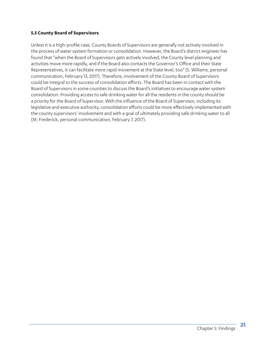#### **5.5 County Board of Supervisors**

Unless it is a high-profile case, County Boards of Supervisors are generally not actively involved in the process of water system formation or consolidation. However, the Board's district engineer has found that "when the Board of Supervisors gets actively involved, the County level planning and activities move more rapidly, and if the Board also contacts the Governor's Office and their State Representatives, it can facilitate more rapid movement at the State level, too" (S. Williams, personal communication, February 13, 2017). Therefore, involvement of the County Board of Supervisors could be integral to the success of consolidation efforts. The Board has been in contact with the Board of Supervisors in some counties to discuss the Board's initiatives to encourage water system consolidation. Providing access to safe drinking water for all the residents in the county should be a priority for the Board of Supervisor. With the influence of the Board of Supervisor, including its legislative and executive authority, consolidation efforts could be more effectively implemented with the county supervisors' involvement and with a goal of ultimately providing safe drinking water to all (M. Frederick, personal communication, February 7, 2017).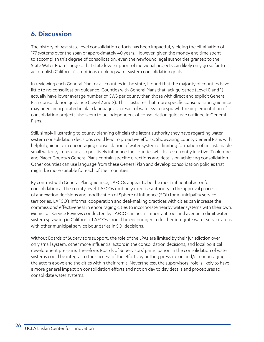### **6. Discussion**

The history of past state level consolidation efforts has been impactful, yielding the elimination of 177 systems over the span of approximately 40 years. However, given the money and time spent to accomplish this degree of consolidation, even the newfound legal authorities granted to the State Water Board suggest that state level support of individual projects can likely only go so far to accomplish California's ambitious drinking water system consolidation goals.

In reviewing each General Plan for all counties in the state, I found that the majority of counties have little to no consolidation guidance. Counties with General Plans that lack guidance (Level 0 and 1) actually have lower average number of CWS per county than those with direct and explicit General Plan consolidation guidance (Level 2 and 3). This illustrates that more specific consolidation guidance may been incorporated in plain language as a result of water system sprawl. The implementation of consolidation projects also seem to be independent of consolidation guidance outlined in General Plans.

Still, simply illustrating to county planning officials the latent authority they have regarding water system consolidation decisions could lead to proactive efforts. Showcasing county General Plans with helpful guidance in encouraging consolidation of water system or limiting formation of unsustainable small water systems can also positively influence the counties which are currently inactive. Tuolumne and Placer County's General Plans contain specific directions and details on achieving consolidation. Other counties can use language from these General Plan and develop consolidation policies that might be more suitable for each of their counties.

By contrast with General Plan guidance, LAFCOs appear to be the most influential actor for consolidation at the county level. LAFCOs routinely exercise authority in the approval process of annexation decisions and modification of Sphere of Influence (SOI) for municipality service territories. LAFCO's informal cooperation and deal-making practices with cities can increase the commissions' effectiveness in encouraging cities to incorporate nearby water systems with their own. Municipal Service Reviews conducted by LAFCO can be an important tool and avenue to limit water system sprawling in California. LAFCOs should be encouraged to further integrate water service areas with other municipal service boundaries in SOI decisions.

Without Boards of Supervisors support, the role of the LPAs are limited by their jurisdiction over only small system, other more influential actors in the consolidation decisions, and local political development pressure. Therefore, Boards of Supervisors' participation in the consolidation of water systems could be integral to the success of the efforts by putting pressure on and/or encouraging the actors above and the cities within their remit. Nevertheless, the supervisors' role is likely to have a more general impact on consolidation efforts and not on day to day details and procedures to consolidate water systems.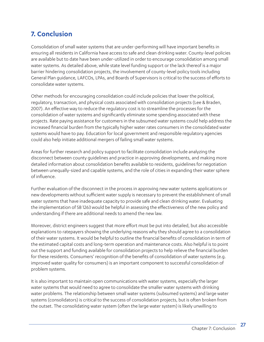### **7. Conclusion**

Consolidation of small water systems that are under-performing will have important benefits in ensuring all residents in California have access to safe and clean drinking water. County-level policies are available but to date have been under-utilized in order to encourage consolidation among small water systems. As detailed above, while state level funding support or the lack thereof is a major barrier hindering consolidation projects, the involvement of county-level policy tools including General Plan guidance, LAFCOs, LPAs, and Boards of Supervisors is critical to the success of efforts to consolidate water systems.

Other methods for encouraging consolidation could include policies that lower the political, regulatory, transaction, and physical costs associated with consolidation projects (Lee & Braden, 2007). An effective way to reduce the regulatory cost is to streamline the processes for the consolidation of water systems and significantly eliminate some spending associated with these projects. Rate paying assistance for customers in the subsumed water systems could help address the increased financial burden from the typically higher water rates consumers in the consolidated water systems would have to pay. Education for local government and responsible regulatory agencies could also help initiate additional mergers of failing small water systems.

Areas for further research and policy support to facilitate consolidation include analyzing the disconnect between county guidelines and practice in approving developments, and making more detailed information about consolidation benefits available to residents, guidelines for negotiation between unequally-sized and capable systems, and the role of cities in expanding their water sphere of influence.

Further evaluation of the disconnect in the process in approving new water systems applications or new developments without sufficient water supply is necessary to prevent the establishment of small water systems that have inadequate capacity to provide safe and clean drinking water. Evaluating the implementation of SB 1263 would be helpful in assessing the effectiveness of the new policy and understanding if there are additional needs to amend the new law.

Moreover, district engineers suggest that more effort must be put into detailed, but also accessible explanations to ratepayers showing the underlying reasons why they should agree to a consolidation of their water systems. It would be helpful to outline the financial benefits of consolidation in term of the estimated capital costs and long-term operation and maintenance costs. Also helpful is to point out the support and funding available for consolidation projects to help relieve the financial burden for these residents. Consumers' recognition of the benefits of consolidation of water systems (e.g. improved water quality for consumers) is an important component to successful consolidation of problem systems.

It is also important to maintain open communications with water systems, especially the larger water systems that would need to agree to consolidate the smaller water systems with drinking water problems. The relationship between small water systems (subsumed systems) and large water systems (consolidators) is critical to the success of consolidation projects, but is often broken from the outset. The consolidating water system (often the large water system) is likely unwilling to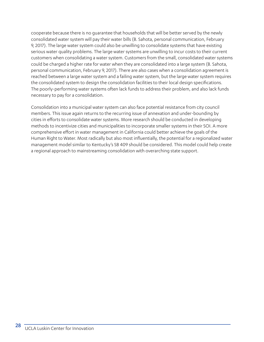cooperate because there is no guarantee that households that will be better served by the newly consolidated water system will pay their water bills (B. Sahota, personal communication, February 9, 2017). The large water system could also be unwilling to consolidate systems that have existing serious water quality problems. The large water systems are unwilling to incur costs to their current customers when consolidating a water system. Customers from the small, consolidated water systems could be charged a higher rate for water when they are consolidated into a large system (B. Sahota, personal communication, February 9, 2017). There are also cases when a consolidation agreement is reached between a large water system and a failing water system, but the large water system requires the consolidated system to design the consolidation facilities to their local design specifications. The poorly-performing water systems often lack funds to address their problem, and also lack funds necessary to pay for a consolidation.

Consolidation into a municipal water system can also face potential resistance from city council members. This issue again returns to the recurring issue of annexation and under-bounding by cities in efforts to consolidate water systems. More research should be conducted in developing methods to incentivize cities and municipalities to incorporate smaller systems in their SOI. A more comprehensive effort in water management in California could better achieve the goals of the Human Right to Water. Most radically but also most influentially, the potential for a regionalized water management model similar to Kentucky's SB 409 should be considered. This model could help create a regional approach to mainstreaming consolidation with overarching state support.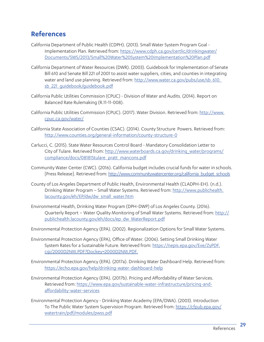### **References**

- California Department of Public Health (CDPH). (2013). Small Water System Program Goal Implementation Plan. Retrieved from: https://www.cdph.ca.gov/certlic/drinkingwater/ Documents/SWS/2013/Small%20Water%20System%20Implementation%20Plan.pdf
- California Department of Water Resources (DWR). (2003). Guidebook for Implementation of Senate Bill 610 and Senate Bill 221 of 2001 to assist water suppliers, cities, and counties in integrating water and land use planning. Retrieved from: http://www.water.ca.gov/pubs/use/sb\_610\_ sb\_221\_guidebook/guidebook.pdf
- California Public Utilities Commission (CPUC) Division of Water and Audits. (2014). Report on Balanced Rate Rulemaking (R.11-11-008).
- California Public Utilities Commission (CPUC). (2017). Water Division. Retrieved from: http://www. cpuc.ca.gov/water/
- California State Association of Counties (CSAC). (2014). County Structure Powers. Retrieved from: http://www.counties.org/general-information/county-structure-0
- Carlucci, C. (2015). State Water Resources Control Board Mandatory Consolidation Letter to City of Tulare. Retrieved from: http://www.waterboards.ca.gov/drinking\_water/programs/ compliance/docs/081815tulare\_pratt\_mancons.pdf
- Community Water Center (CWC). (2016). California budget includes crucial funds for water in schools. [Press Release]. Retrieved from: http://www.communitywatercenter.org/california\_budget\_schools
- County of Los Angeles Department of Public Health, Environmental Health (CLADPH-EH). (n.d.). Drinking Water Program – Small Water Systems. Retrieved from: http://www.publichealth. lacounty.gov/eh/EP/dw/dw\_small\_water.htm
- Environmental Health, Drinking Water Program (DPH-DWP) of Los Angeles County. (2016). Quarterly Report – Water Quality Monitoring of Small Water Systems. Retrieved from: http:// publichealth.lacounty.gov/eh/docs/ep\_dw\_WaterReport.pdf

Environmental Protection Agency (EPA). (2002). Regionalization Options for Small Water Systems.

- Environmental Protection Agency (EPA), Office of Water. (2006). Setting Small Drinking Water System Rates for a Sustainable Future. Retrieved from: https://nepis.epa.gov/Exe/ZyPDF. cgi/2000D2NM.PDF?Dockey=2000D2NM.PDF.
- Environmental Protection Agency (EPA). (2017a). Drinking Water Dashboard Help. Retrieved from: https://echo.epa.gov/help/drinking-water-dashboard-help
- Environmental Protection Agency (EPA). (2017b). Pricing and Affordability of Water Services. Retrieved from: https://www.epa.gov/sustainable-water-infrastructure/pricing-andaffordability-water-services
- Environmental Protection Agency Drinking Water Academy (EPA/DWA). (2003). Introduction To The Public Water System Supervision Program. Retrieved from: https://cfpub.epa.gov/ watertrain/pdf/modules/pwss.pdf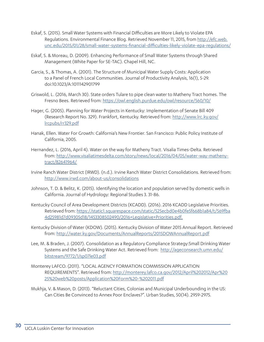- Eskaf, S. (2015). Small Water Systems with Financial Difficulties are More Likely to Violate EPA Regulations. Environmental Finance Blog. Retrieved November 11, 2015, from http://efc.web. unc.edu/2015/01/28/small-water-systems-financial-difficulties-likely-violate-epa-regulations/
- Eskaf, S. & Moreau, D. (2009). Enhancing Performance of Small Water Systems through Shared Management (White Paper for SE-TAC). Chapel Hill, NC.
- Garcia, S., & Thomas, A. (2001). The Structure of Municipal Water Supply Costs: Application to a Panel of French Local Communities. Journal of Productivity Analysis, 16(1), 5-29. doi:10.1023/A:1011142901799
- Griswold, L. (2016, March 30). State orders Tulare to pipe clean water to Matheny Tract homes. The Fresno Bees. Retrieved from: https://owl.english.purdue.edu/owl/resource/560/10/
- Hager, G. (2005). Planning for Water Projects in Kentucky: Implementation of Senate Bill 409 (Research Report No. 329). Frankfort, Kentucky. Retrieved from: http://www.lrc.ky.gov/ lrcpubs/rr329.pdf
- Hanak, Ellen. Water For Growth: California's New Frontier. San Francisco: Public Policy Institute of California, 2005.
- Hernandez, L. (2016, April 4). Water on the way for Matheny Tract. Visalia Times-Delta. Retrieved from: http://www.visaliatimesdelta.com/story/news/local/2016/04/05/water-way-mathenytract/82641964/
- Irvine Ranch Water District (IRWD). (n.d.). Irvine Ranch Water District Consolidations. Retrieved from: http://www.irwd.com/about-us/consolidations
- Johnson, T. D. & Belitz, K. (2015). Identifying the location and population served by domestic wells in California. Journal of Hydrology: Regional Studies 3. 31-86.
- Kentucky Council of Area Development Districts (KCADD). (2016). 2016 KCADD Legislative Priorities. Retrieved from: https://static1.squarespace.com/static/525ecbd0e4b0fe5f668b1a84/t/569fba 4d25981d7d09305d18/1453308502490/2016+Legislative+Priorities.pdf.
- Kentucky Division of Water (KDOW). (2015). Kentucky Division of Water 2015 Annual Report. Retrieved from: http://water.ky.gov/Documents/AnnualReports/2015DOWAnnualReport.pdf
- Lee, M. & Braden, J. (2007). Consolidation as a Regulatory Compliance Strategy:Small Drinking Water Systems and the Safe Drinking Water Act. Retrieved from: http://ageconsearch.umn.edu/ bitstream/9772/1/sp07le03.pdf
- Monterey LAFCO. (2011). "LOCAL AGENCY FORMATION COMMISSION APPLICATION REQUIREMENTS". Retrieved from: http://monterey.lafco.ca.gov/2012/April%202012/Apr%20 25%20web%20posts/Application%20Form%20-%202011.pdf
- Mukhja, V. & Mason, D. (2013). "Reluctant Cities, Colonias and Municipal Underbounding in the US: Can Cities Be Convinced to Annex Poor Enclaves?". Urban Studies, 50(14). 2959-2975.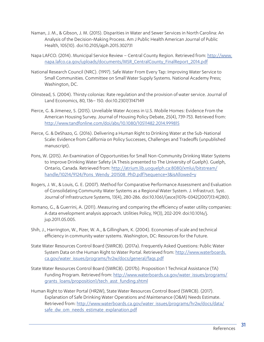- Naman, J. M., & Gibson, J. M. (2015). Disparities in Water and Sewer Services in North Carolina: An Analysis of the Decision-Making Process. Am J Public Health American Journal of Public Health, 105(10). doi:10.2105/ajph.2015.302731
- Napa LAFCO. (2014). Municipal Service Review Central County Region. Retrieved from: http://www. napa.lafco.ca.gov/uploads/documents/MSR\_CentralCounty\_FinalReport\_2014.pdf
- National Research Council (NRC). (1997). Safe Water From Every Tap: Improving Water Service to Small Communities. Committee on Small Water Supply Systems. National Academy Press; Washington, DC.
- Olmstead, S. (2004). Thirsty colonias: Rate regulation and the provision of water service. Journal of Land Economics, 80, 136– 150. doi:10.2307/3147149
- Pierce, G. & Jimenez, S. (2015). Unreliable Water Access in U.S. Mobile Homes: Evidence From the American Housing Survey. Journal of Housing Policy Debate, 25(4), 739-753. Retrieved from: http://www.tandfonline.com/doi/abs/10.1080/10511482.2014.999815
- Pierce, G. & DeShazo, G. (2016). Delivering a Human Right to Drinking Water at the Sub-National Scale: Evidence from California on Policy Successes, Challenges and Tradeoffs (unpublished manuscript).
- Pons, W. (2015). An Examination of Opportunities for Small Non-Community Drinking Water Systems to Improve Drinking Water Safety (A Thesis presented to The University of Guelph). Guelph, Ontario, Canada. Retrieved from: http://atrium.lib.uoguelph.ca:8080/xmlui/bitstream/ handle/10214/9124/Pons\_Wendy\_201508\_PhD.pdf?sequence=3&isAllowed=y
- Rogers, J. W., & Louis, G. E. (2007). Method for Comparative Performance Assessment and Evaluation of Consolidating Community Water Systems as a Regional Water System. J. Infrastruct. Syst. Journal of Infrastructure Systems, 13(4), 280-286. doi:10.1061/(asce)1076-0342(2007)13:4(280).
- Romano, G., & Guerrini, A. (2011). Measuring and comparing the efficiency of water utility companies: A data envelopment analysis approach. Utilities Policy, 19(3), 202-209. doi:10.1016/j. jup.2011.05.005.
- Shih, J., Harrington, W., Pizer, W. A., & Gillingham, K. (2004). Economies of scale and technical efficiency in community water systems. Washington, DC: Resources for the Future.
- State Water Resources Control Board (SWRCB). (2017a). Frequently Asked Questions: Public Water System Data on the Human Right to Water Portal. Retrieved from: http://www.waterboards. ca.gov/water\_issues/programs/hr2w/docs/general/faqs.pdf
- State Water Resources Control Board (SWRCB). (2017b). Proposition 1 Technical Assistance (TA) Funding Program. Retrieved from: http://www.waterboards.ca.gov/water\_issues/programs/ grants\_loans/proposition1/tech\_asst\_funding.shtml
- Human Right to Water Portal (HR2W), State Water Resources Control Board (SWRCB). (2017). Explanation of Safe Drinking Water Operations and Maintenance (O&M) Needs Estimate. Retrieved from: http://www.waterboards.ca.gov/water\_issues/programs/hr2w/docs/data/ safe\_dw\_om\_needs\_estimate\_explanation.pdf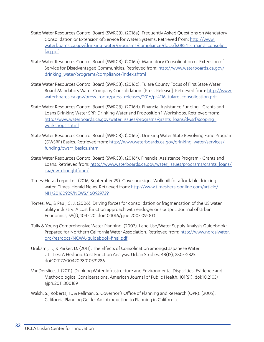- State Water Resources Control Board (SWRCB). (2016a). Frequently Asked Questions on Mandatory Consolidation or Extension of Service for Water Systems. Retrieved from: http://www. waterboards.ca.gov/drinking\_water/programs/compliance/docs/fs082415\_mand\_consolid faq.pdf
- State Water Resources Control Board (SWRCB). (2016b). Mandatory Consolidation or Extension of Service for Disadvantaged Communities. Retrieved from: http://www.waterboards.ca.gov/ drinking\_water/programs/compliance/index.shtml
- State Water Resources Control Board (SWRCB). (2016c). Tulare County Focus of First State Water Board Mandatory Water Company Consolidation. [Press Release]. Retrieved from: http://www. waterboards.ca.gov/press\_room/press\_releases/2016/pr4116\_tulare\_consolidation.pdf
- State Water Resources Control Board (SWRCB). (2016d). Financial Assistance Funding Grants and Loans Drinking Water SRF: Drinking Water and Proposition 1 Workshops. Retrieved from: http://www.waterboards.ca.gov/water\_issues/programs/grants\_loans/dwsrf/scoping\_ workshops.shtml
- State Water Resources Control Board (SWRCB). (2016e). Drinking Water State Revolving Fund Program (DWSRF) Basics. Retrieved from: http://www.waterboards.ca.gov/drinking\_water/services/ funding/dwsrf\_basics.shtml
- State Water Resources Control Board (SWRCB). (2016f). Financial Assistance Program Grants and Loans. Retrieved from: http://www.waterboards.ca.gov/water\_issues/programs/grants\_loans/ caa/dw\_droughtfund/
- Times-Herald reporter. (2016, September 29). Governor signs Wolk bill for affordable drinking water. Times-Herald News. Retrieved from: http://www.timesheraldonline.com/article/ NH/20160929/NEWS/160929739
- Torres, M., & Paul, C. J. (2006). Driving forces for consolidation or fragmentation of the US water utility industry: A cost function approach with endogenous output. Journal of Urban Economics, 59(1), 104-120. doi:10.1016/j.jue.2005.09.003
- Tully & Young Comprehensive Water Planning. (2007). Land Use/Water Supply Analysis Guidebook: Prepared for Northern California Water Association. Retrieved from: http://www.norcalwater. org/res/docs/NCWA-guidebook-final.pdf
- Urakami, T., & Parker, D. (2011). The Effects of Consolidation amongst Japanese Water Utilities: A Hedonic Cost Function Analysis. Urban Studies, 48(13), 2805-2825. doi:10.1177/0042098010391286
- VanDerslice, J. (2011). Drinking Water Infrastructure and Environmental Disparities: Evidence and Methodological Considerations. American Journal of Public Health, 101(S1). doi:10.2105/ ajph.2011.300189
- Walsh, S., Roberts, T., & Pellman, S. Governor's Office of Planning and Research (OPR). (2005). California Planning Guide: An Introduction to Planning in California.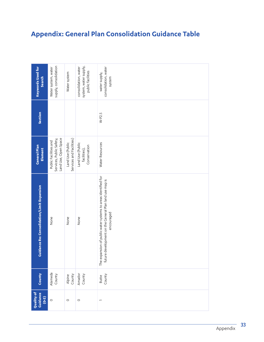## **Appendix: General Plan Consolidation Guidance Table**

|                                                      |                                                                           |                                              |                                                                    | <b>Appendix: General Plan Consolidation Guidance Table</b>                                                                            |
|------------------------------------------------------|---------------------------------------------------------------------------|----------------------------------------------|--------------------------------------------------------------------|---------------------------------------------------------------------------------------------------------------------------------------|
| <b>Keywords Used for</b><br>Search                   | supply, consolidation<br>Water system, water                              | Water system                                 | system, water supply,<br>consolidation, water<br>public facilities | consolidation, water<br>water supply,<br>system                                                                                       |
| Section                                              |                                                                           |                                              |                                                                    | $W-P2.5$                                                                                                                              |
| <b>General Plan</b><br>Element                       | Land Use, Open Space<br>Services, Public Safety,<br>Public Facilities and | Services and Facilities)<br>Land Use (Public | Land Use (Public<br>Conservation<br>facilities),                   | Water Resources                                                                                                                       |
| Limit Expansion<br><b>Guidance Re: Consolidation</b> | None                                                                      | None                                         | None                                                               | The expansion of public water systems to areas identified for<br>future development on the General Plan land use map is<br>encouraged |
| County                                               | Alameda<br>County                                                         | County<br>Alpine                             | Amador<br>County                                                   | County<br>Butte                                                                                                                       |
| Quality of<br>Guidance<br>$(6-3)$                    | $\circ$                                                                   | $\circ$                                      | $\circ$                                                            |                                                                                                                                       |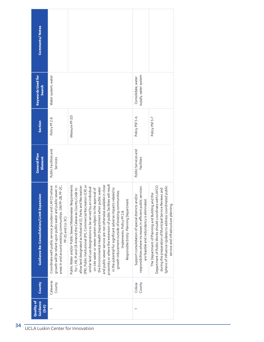| Comments/Notes                                    |                                                                                                                                                                                                                 |                                                                                                                                                                                                                                                                                                                                                                                                                                                                                                                                                                                                                                                                                                                                                                               |                                                                                                                                                                  |                                                                                                                                                                                                                                                                            |
|---------------------------------------------------|-----------------------------------------------------------------------------------------------------------------------------------------------------------------------------------------------------------------|-------------------------------------------------------------------------------------------------------------------------------------------------------------------------------------------------------------------------------------------------------------------------------------------------------------------------------------------------------------------------------------------------------------------------------------------------------------------------------------------------------------------------------------------------------------------------------------------------------------------------------------------------------------------------------------------------------------------------------------------------------------------------------|------------------------------------------------------------------------------------------------------------------------------------------------------------------|----------------------------------------------------------------------------------------------------------------------------------------------------------------------------------------------------------------------------------------------------------------------------|
| <b>Keywords Used for</b><br>Search                | Water system, water                                                                                                                                                                                             |                                                                                                                                                                                                                                                                                                                                                                                                                                                                                                                                                                                                                                                                                                                                                                               | supply, water system<br>Consolidate, water                                                                                                                       |                                                                                                                                                                                                                                                                            |
| Section                                           | Policy PF 2.8                                                                                                                                                                                                   | Measure PF-2D                                                                                                                                                                                                                                                                                                                                                                                                                                                                                                                                                                                                                                                                                                                                                                 | Policy PSF 5-6                                                                                                                                                   | Policy PSF 5-7                                                                                                                                                                                                                                                             |
| <b>Ceneral Plan</b><br>Element                    | Public Facilities and<br>Services                                                                                                                                                                               |                                                                                                                                                                                                                                                                                                                                                                                                                                                                                                                                                                                                                                                                                                                                                                               | Public Services and<br>Facilities                                                                                                                                |                                                                                                                                                                                                                                                                            |
| <b>Guidance Re: Consolidation/Limit Expansion</b> | growth will be reliant upon public water and public sewer in<br>FCO where<br>areas in and around existing communities. (IM PF-2B, PF-2C,<br>Coordinate with public service providers and LA<br>PF-2G and LU-3C) | proximity or where the extension of public facilities will result<br>Public Water and/or Public Sewer/Wastewater Requirements<br>and public sewer service are not otherwise available in close<br>(PR), Public Institutional (PI), Commercial Recreation (CR) or<br>allow land designated as Industrial (I), Parks and Recreation<br>similar land use designations to be served by an individual<br>the Environmental Health Department when public water<br>for I, PR, PI and CR Amend the Calaveras County Code to<br>on-site water or sewer system subject to the approval of<br>in the potential for significant adverse impacts related to<br>growth inducement outside of existing communities.<br>Responsible Entity: Planning Department<br>Implements: Policy PF 2.8 | responsibilities where increases in efficient public services<br>Support consolidation of special districts and/or<br>are feasible and redundancy is eliminated. | Department of Public Works should coordinate with LAFCO<br>Sphere of Influence Updates to address coordinated public<br>during the preparation of Municipal Service Reviews and<br>The Department of Planning and Building and the<br>service and infrastructure planning. |
| County                                            | Calaveras<br>County                                                                                                                                                                                             |                                                                                                                                                                                                                                                                                                                                                                                                                                                                                                                                                                                                                                                                                                                                                                               | County<br>Colusa                                                                                                                                                 |                                                                                                                                                                                                                                                                            |
| Quality of<br>Guidance                            | $(6-3)$                                                                                                                                                                                                         |                                                                                                                                                                                                                                                                                                                                                                                                                                                                                                                                                                                                                                                                                                                                                                               |                                                                                                                                                                  |                                                                                                                                                                                                                                                                            |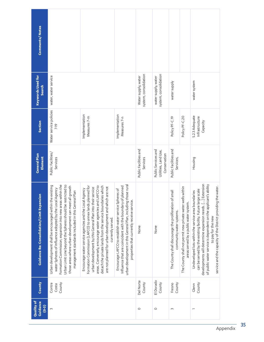| <b>Comments/Notes</b>                             |                                                                                                                                                                                                                                                                                                                                                                  |                                                                                                                                                                                                                                                                                                                                                                                         |                                                                                                                                                                                                                                    |                                                             |                                              |                                                                                       |                                                                                                     |                                                                                                                                                                                                                                                                                                                                          |
|---------------------------------------------------|------------------------------------------------------------------------------------------------------------------------------------------------------------------------------------------------------------------------------------------------------------------------------------------------------------------------------------------------------------------|-----------------------------------------------------------------------------------------------------------------------------------------------------------------------------------------------------------------------------------------------------------------------------------------------------------------------------------------------------------------------------------------|------------------------------------------------------------------------------------------------------------------------------------------------------------------------------------------------------------------------------------|-------------------------------------------------------------|----------------------------------------------|---------------------------------------------------------------------------------------|-----------------------------------------------------------------------------------------------------|------------------------------------------------------------------------------------------------------------------------------------------------------------------------------------------------------------------------------------------------------------------------------------------------------------------------------------------|
| <b>Keywords Used for</b><br><b>Search</b>         | water, water service                                                                                                                                                                                                                                                                                                                                             |                                                                                                                                                                                                                                                                                                                                                                                         |                                                                                                                                                                                                                                    | system, consolidation<br>Water supply, water                | system, consolidation<br>water supply, water | water supply                                                                          |                                                                                                     | water system                                                                                                                                                                                                                                                                                                                             |
| Section                                           | Water service policies<br>7-19                                                                                                                                                                                                                                                                                                                                   | Implementation<br>Measures <sub>7</sub> -m                                                                                                                                                                                                                                                                                                                                              | Implementation<br>Measures <sub>7-n</sub>                                                                                                                                                                                          |                                                             |                                              | Policy PF-C.19                                                                        | Policy PF-C.20                                                                                      | 5.2.3 Adequate<br>Infrastructure<br>Capacity                                                                                                                                                                                                                                                                                             |
| <b>General Plan</b><br>Element                    | Public Facilities/<br>Services                                                                                                                                                                                                                                                                                                                                   |                                                                                                                                                                                                                                                                                                                                                                                         | Public Facilities and<br>Services                                                                                                                                                                                                  | Public Services and<br>Utilities, Land Use,<br>Conservation | Public Facilities and<br>Services,           |                                                                                       | Housing                                                                                             |                                                                                                                                                                                                                                                                                                                                          |
| <b>Guidance Re: Consolidation/Limit Expansion</b> | Formation Commission; expansion into new areas within the<br>Urban Limit Line beyond the Spheres should be restricted to<br>Urban development shall be encouraged within the existing<br>those areas where urban development can meet all growth<br>water Spheres of Influence adopted by the Local Agency<br>management standards included in this General Plan | Formation Commission (LAFCO) to annex lands planned for<br>areas. Conversely, encourage water agencies and LAFCO to<br>detach the private lands from the service boundaries which<br>are not planned for urban development and which are not<br>urban development by this General Plan into their service<br>Encourage water service agencies and the Local Agency<br>currently served. | urban development in this General Plan, including those rural<br>Influence that are coincident with the boundary of planned<br>Encourage LAFCO to establish water service Spheres of<br>properties that currently receive service. | None                                                        | None                                         | of small<br>The County shall discourage the proliferation<br>community water systems. | The County shall not permit new private water wells within<br>areas served by a public water system | developments will determine expansion needs. [] Extension<br>of public water service is dependent on the applicant's ability<br>service and the capacity of the District providing the water.<br>can be served by the existing facility. Future large scale<br>Undeveloped lots within the service area boundaries<br>to pay for the new |
| County                                            | County<br>Contra<br>Costa                                                                                                                                                                                                                                                                                                                                        |                                                                                                                                                                                                                                                                                                                                                                                         | Del Norte<br>County                                                                                                                                                                                                                | El Dorado<br>County                                         | County<br>Fresno                             |                                                                                       | County<br>Glenn                                                                                     |                                                                                                                                                                                                                                                                                                                                          |
| Quality of<br>Guidance<br>$(0-3)$                 | 3                                                                                                                                                                                                                                                                                                                                                                |                                                                                                                                                                                                                                                                                                                                                                                         |                                                                                                                                                                                                                                    |                                                             |                                              | 3                                                                                     |                                                                                                     | $\overline{ }$                                                                                                                                                                                                                                                                                                                           |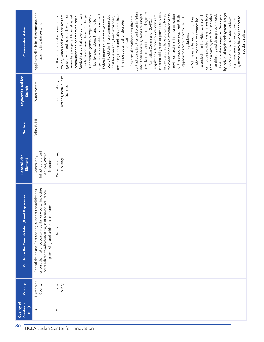| <b>Comments/Notes</b>                           | Applies to all public infrastructure, not<br>specific to water systems                                                                                                                                                          | to available capacities and Local Agency<br>built adjacent to cities and plan to "plug<br>under no obligation to provide services,<br>by individual septic tank system. Larger<br>the connection via an extension of city<br>than drinking and through commercial<br>into" their service systems are subject<br>in the past they have typically allowed<br>including Heber and Palo Verde, have<br>cannot be provided, water is available<br>through a canal system for uses other<br>usually be accommodated, but larger<br>expansions is available from state and<br>services or assisted in the annexation<br>drinking water companies. Sewage is<br>Modest residential development can<br>regulations. Although local cities are<br>county, water and sewer services are<br>generally limited to parcels within or<br>immediately adjacent to established<br>subdivisions generally require costly<br>of the proposed development. Both<br>communities or incorporated cities.<br>federal sources but may take several<br>years to obtain. Those communities<br>extended or an individual water well<br>-Residential developments that are<br>approved sewer or water treatment<br>-In the unincorporated areas of the<br>-Outside established communities,<br>systems or may have to connect to<br>that have recently been expanded,<br>the most potential for short-term<br>approaches are subject to LAFCO<br>facility expansions. Financing for<br>developments may require state-<br>where urban services cannot be<br>Formation Commission (LAFCo)<br>special districts.<br>regulations.<br>growth. |  |  |
|-------------------------------------------------|---------------------------------------------------------------------------------------------------------------------------------------------------------------------------------------------------------------------------------|---------------------------------------------------------------------------------------------------------------------------------------------------------------------------------------------------------------------------------------------------------------------------------------------------------------------------------------------------------------------------------------------------------------------------------------------------------------------------------------------------------------------------------------------------------------------------------------------------------------------------------------------------------------------------------------------------------------------------------------------------------------------------------------------------------------------------------------------------------------------------------------------------------------------------------------------------------------------------------------------------------------------------------------------------------------------------------------------------------------------------------------------------------------------------------------------------------------------------------------------------------------------------------------------------------------------------------------------------------------------------------------------------------------------------------------------------------------------------------------------------------------------------------------------------------------------------------------------------------------|--|--|
| <b>Keywords Used for</b><br>Search              | Water system                                                                                                                                                                                                                    | water system, public<br>consolidation,<br>facilities                                                                                                                                                                                                                                                                                                                                                                                                                                                                                                                                                                                                                                                                                                                                                                                                                                                                                                                                                                                                                                                                                                                                                                                                                                                                                                                                                                                                                                                                                                                                                          |  |  |
| Section                                         | Policy IS-PIT                                                                                                                                                                                                                   |                                                                                                                                                                                                                                                                                                                                                                                                                                                                                                                                                                                                                                                                                                                                                                                                                                                                                                                                                                                                                                                                                                                                                                                                                                                                                                                                                                                                                                                                                                                                                                                                               |  |  |
| <b>General Plan</b><br>Element                  | Infrastructure and<br>Services, Water<br>Community<br>Resources                                                                                                                                                                 | Water, Land Use,<br>Housing                                                                                                                                                                                                                                                                                                                                                                                                                                                                                                                                                                                                                                                                                                                                                                                                                                                                                                                                                                                                                                                                                                                                                                                                                                                                                                                                                                                                                                                                                                                                                                                   |  |  |
| nsion<br>Guidance Re: Consolidation/Limit Expar | including<br>Consolidation and Cost Sharing. Support consolidations<br>costs related to administration, staff training, insurance,<br>or cost sharing to reduce service delivery costs,<br>purchasing, and vehicle maintenance. | None                                                                                                                                                                                                                                                                                                                                                                                                                                                                                                                                                                                                                                                                                                                                                                                                                                                                                                                                                                                                                                                                                                                                                                                                                                                                                                                                                                                                                                                                                                                                                                                                          |  |  |
| County                                          | Humboldt<br>County                                                                                                                                                                                                              | Imperial<br>County                                                                                                                                                                                                                                                                                                                                                                                                                                                                                                                                                                                                                                                                                                                                                                                                                                                                                                                                                                                                                                                                                                                                                                                                                                                                                                                                                                                                                                                                                                                                                                                            |  |  |
| Quality of<br>Guidance<br>$(0-3)$               | $\sim$                                                                                                                                                                                                                          | $\circ$                                                                                                                                                                                                                                                                                                                                                                                                                                                                                                                                                                                                                                                                                                                                                                                                                                                                                                                                                                                                                                                                                                                                                                                                                                                                                                                                                                                                                                                                                                                                                                                                       |  |  |
| 36<br>UCLA Luskin Center for Innovation         |                                                                                                                                                                                                                                 |                                                                                                                                                                                                                                                                                                                                                                                                                                                                                                                                                                                                                                                                                                                                                                                                                                                                                                                                                                                                                                                                                                                                                                                                                                                                                                                                                                                                                                                                                                                                                                                                               |  |  |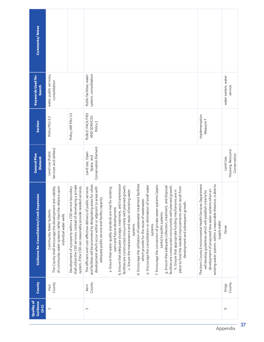| <b>Comments/Notes</b>                      |                                                                                                                                                                           |                                                                                                                                                                                          |                                                                                                                                                                                                                                              |                                                                                                                                                                                                                                                                                                                                                                                                                                                                                                                                                                                                                                                                                                                                                                                                                                                                                    |                                                                                                                                                                                                                                                                     |                                                |
|--------------------------------------------|---------------------------------------------------------------------------------------------------------------------------------------------------------------------------|------------------------------------------------------------------------------------------------------------------------------------------------------------------------------------------|----------------------------------------------------------------------------------------------------------------------------------------------------------------------------------------------------------------------------------------------|------------------------------------------------------------------------------------------------------------------------------------------------------------------------------------------------------------------------------------------------------------------------------------------------------------------------------------------------------------------------------------------------------------------------------------------------------------------------------------------------------------------------------------------------------------------------------------------------------------------------------------------------------------------------------------------------------------------------------------------------------------------------------------------------------------------------------------------------------------------------------------|---------------------------------------------------------------------------------------------------------------------------------------------------------------------------------------------------------------------------------------------------------------------|------------------------------------------------|
| <b>Keywords Used for</b><br>Search         | water, public services,<br>consolidation                                                                                                                                  |                                                                                                                                                                                          | system, consolidation<br>Public facilities, water                                                                                                                                                                                            |                                                                                                                                                                                                                                                                                                                                                                                                                                                                                                                                                                                                                                                                                                                                                                                                                                                                                    |                                                                                                                                                                                                                                                                     | water system, water<br>service                 |
| Section                                    | Policy PSU-3.2                                                                                                                                                            | Policy IMP PSU-3.3                                                                                                                                                                       | PUBLIC FACILITIES<br>AND SERVICES:<br>Policy <sub>2</sub>                                                                                                                                                                                    |                                                                                                                                                                                                                                                                                                                                                                                                                                                                                                                                                                                                                                                                                                                                                                                                                                                                                    | Implementation<br>Measure <sub>T</sub>                                                                                                                                                                                                                              |                                                |
| <b>General Plan</b><br>Element             | Services and Utilites)<br>Land Use (Public                                                                                                                                |                                                                                                                                                                                          | Conservation Element<br>Land Use, Open<br>Space, and                                                                                                                                                                                         |                                                                                                                                                                                                                                                                                                                                                                                                                                                                                                                                                                                                                                                                                                                                                                                                                                                                                    |                                                                                                                                                                                                                                                                     | Housing, Resource<br>Conservation<br>Land Use, |
| Guidance Re: Consolidation/Limit Expansion | of community water systems rather than the reliance upon<br>The County shall encourage the development and viability<br>Community Water Systems<br>individual water wells | shall utilize the CSD services, instead of developing a private<br>system, if the CSD can reasonably provide needed services.<br>Development of a property within a CSD service boundary | and facilities will be promoted by designating areas for urban<br>development which occur within or adjacent to areas with<br>The efficient and cost-effective delivery of public services<br>adequate public service and facility capacity. | d. Encourage the utilization of wastewater treatment facilities<br>b. Ensure that adequate storage, treatment, and transmission<br>f. Encourage the conversion of private sewer systems (septic<br>e. Encourage the consolidation or elimination of small water<br>facilities are constructed concurrently with planned growth.<br>facilities are constructed concurrently with planned growth.<br>g. Ensure that adequate collection, treatment, and disposal<br>place to fund the needed improvements which result from<br>a. Ensure that water quality standards are met for existing<br>h. Ensure that appropriate funding mechanisms are in<br>c. Ensure the maintenance and repair of existing water<br>which provide for the reuse of wastewater.<br>development and subsequent growth<br>users and future development<br>tanks) to public systems.<br>systems.<br>systems. | The Kern County Environmental Health Services Department<br>ce, is able to<br>development of proposed new water systems when an<br>will develop guidelines which will establish criteria for<br>existing water system, within a reasonable distand<br>supply water. | None                                           |
| County                                     | County<br>Inyo                                                                                                                                                            |                                                                                                                                                                                          | County<br>Kern                                                                                                                                                                                                                               |                                                                                                                                                                                                                                                                                                                                                                                                                                                                                                                                                                                                                                                                                                                                                                                                                                                                                    |                                                                                                                                                                                                                                                                     | County<br>Kings                                |
| Quality of<br>Guidance<br>$(0-3)$          | $\sim$                                                                                                                                                                    |                                                                                                                                                                                          | 3                                                                                                                                                                                                                                            |                                                                                                                                                                                                                                                                                                                                                                                                                                                                                                                                                                                                                                                                                                                                                                                                                                                                                    |                                                                                                                                                                                                                                                                     | $\circ$                                        |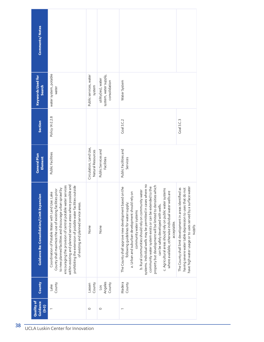| <b>Comments/Notes</b>                             |                                                                                                                                                                                                                                                                                                                                                                                                                              |                                             |                                                               |                                                                                                                                                                                                                                                                                                                                                                                                                                                                                                                                                                                                             |                                                                                                                                                                                                |
|---------------------------------------------------|------------------------------------------------------------------------------------------------------------------------------------------------------------------------------------------------------------------------------------------------------------------------------------------------------------------------------------------------------------------------------------------------------------------------------|---------------------------------------------|---------------------------------------------------------------|-------------------------------------------------------------------------------------------------------------------------------------------------------------------------------------------------------------------------------------------------------------------------------------------------------------------------------------------------------------------------------------------------------------------------------------------------------------------------------------------------------------------------------------------------------------------------------------------------------------|------------------------------------------------------------------------------------------------------------------------------------------------------------------------------------------------|
| <b>Keywords Used for</b><br>Search                | water system, potable<br>water                                                                                                                                                                                                                                                                                                                                                                                               | Public services, water<br>system            | system, water supply,<br>utility(ies), water<br>consolidation | Water System                                                                                                                                                                                                                                                                                                                                                                                                                                                                                                                                                                                                |                                                                                                                                                                                                |
| Section                                           | Policy IX-2.2.8                                                                                                                                                                                                                                                                                                                                                                                                              |                                             |                                                               | Coal 3.C.2                                                                                                                                                                                                                                                                                                                                                                                                                                                                                                                                                                                                  | Coal 3.C.3                                                                                                                                                                                     |
| <b>General Plan</b><br>Element                    | Public Facilities                                                                                                                                                                                                                                                                                                                                                                                                            | Circulation, Land Use,<br>Natural Resources | Public Services and<br>Facilities                             | Public Facilities and<br>Services                                                                                                                                                                                                                                                                                                                                                                                                                                                                                                                                                                           |                                                                                                                                                                                                |
| <b>Guidance Re: Consolidation/Limit Expansion</b> | possible and<br>encouraging the provision of central potable water services<br>ties outside<br>to new planned facilities and discourage urban sprawl by<br>County shall maximize the use of existing facilities prior<br>Coordination of Potable Water with Land Use: Lake<br>of existing and planned service areas.<br>prohibiting the extension of potable water facili<br>within existing and planned service areas where | None                                        | None                                                          | systems. Individual wells may be permitted in cases where no<br>property but development will be limited to densities which<br>community water system exists or can be extended to the<br>The County shall approve new development based on the<br>c. Agricultural areas should rely on public water systems<br>b. Rural communities should rely on community water<br>where available, otherwise individual water wells are<br>a. Urban and suburban development should rely on<br>following guidelines for water supply:<br>can be safely developed with wells.<br>community water systems<br>acceptable. | have high water usage or to uses served by a surface water<br>The County shall limit development in areas identified as<br>having severe water table depression to uses that do not<br>supply. |
| County                                            | County<br>Lake                                                                                                                                                                                                                                                                                                                                                                                                               | County<br>Lassen                            | Angeles<br>County<br>$\overline{105}$                         | Madera<br>County                                                                                                                                                                                                                                                                                                                                                                                                                                                                                                                                                                                            |                                                                                                                                                                                                |
| Quality of<br>Guidance<br>$(0 - 3)$               |                                                                                                                                                                                                                                                                                                                                                                                                                              | $\circ$                                     | $\circ$                                                       | $\overline{ }$                                                                                                                                                                                                                                                                                                                                                                                                                                                                                                                                                                                              |                                                                                                                                                                                                |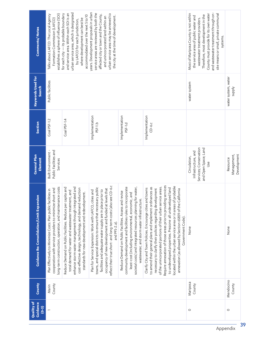| <b>Quality of</b><br>Guidance<br>$(6-3)$ | County              | nsion<br><b>Guidance Re: Consolidation/Limit Expan</b>                                                                                                                                                                                                                                                                                                                                                                                                                                                                               | <b>General Plan</b><br>Element                                                               | Section                    | <b>Keywords Used for</b><br><b>Search</b> | <b>Comments/Notes</b>                                                                                                                                                                                                                                                                        |
|------------------------------------------|---------------------|--------------------------------------------------------------------------------------------------------------------------------------------------------------------------------------------------------------------------------------------------------------------------------------------------------------------------------------------------------------------------------------------------------------------------------------------------------------------------------------------------------------------------------------|----------------------------------------------------------------------------------------------|----------------------------|-------------------------------------------|----------------------------------------------------------------------------------------------------------------------------------------------------------------------------------------------------------------------------------------------------------------------------------------------|
|                                          | County<br>Marin     | ong-term construction, operation, and maintenance costs<br>cooperation with service providers to minimize short-and<br>Plan Effectively to Minimize Costs: Plan public facilities in                                                                                                                                                                                                                                                                                                                                                 | Public Facilities and<br>Built Environment -<br>Services                                     | Coal PSF-1.2               | Public facilities                         | establishes a sphere of influence (SOI)<br>Talks about LAFCO: The Local Agency<br>Formation Commission (LAFCO)                                                                                                                                                                               |
|                                          |                     | enhance storm water management through integrated and<br>Reduce Demand on Public Facilities. Reduce per capita and<br>reduction<br>total demand for water and wastewater treatment, and<br>standards for new development and redevelopment.<br>cost-effective design, technology, and demand                                                                                                                                                                                                                                         |                                                                                              | Coal PSF-1.4               |                                           | urban service area, which is designated<br>and service area. Within each SOI is an<br>for each city $-$ its probable boundary<br>accommodated over the next 5 to 10<br>where development can best be<br>by LAFCO for each jurisdiction,                                                      |
|                                          |                     | reflect their true short- and long-term costs (also see CD-6.c<br>towns, and special districts to ensure that necessary public<br>occupancy of new development and funded at levels that<br>facilities and adequate water supply are in place prior to<br>Plan for Service Expansion: Work with LAFCO, cities and<br>and PFS-2.a).                                                                                                                                                                                                   |                                                                                              | Implementation<br>PSF-1.b  |                                           | years. Development proposals in urban<br>service areas are reviewed by both the<br>urban service area may be annexed to<br>affected city or town and the County,<br>the city at the time of development.<br>and unincorporated land within an                                                |
|                                          |                     | societal costs) and integrated resources planning for water,<br>community development and facilities rules to incorporate<br>Reduce Demand on Public Facilities. Assess and revise<br>least-cost (including environmental, economic, and<br>wastewater, and storm water infrastructure.                                                                                                                                                                                                                                              |                                                                                              | Implementation<br>PSF-1.d  |                                           |                                                                                                                                                                                                                                                                                              |
|                                          |                     | Require annexation of those areas prior to providing services<br>ocated within the urban service area or in areas of probable<br>of the unincorporated portions of their urban service areas.<br>to amend their general plans and implement ordinances as<br>to undeveloped properties. Prezone all undeveloped land<br>Clarify City and Town Policies. Encourage cities and towns<br>necessary to clarify their policies regarding development<br>California<br>annexation (as allowed by Section 65859 of the<br>Government Code). |                                                                                              | Implementation<br>$CD-6.c$ |                                           |                                                                                                                                                                                                                                                                                              |
| $\circ$                                  | Mariposa<br>County  | None                                                                                                                                                                                                                                                                                                                                                                                                                                                                                                                                 | Services; Conservation<br>and Open Space; Land<br>Infrastructure, and<br>Circulation,<br>Use |                            | water system                              | and wastewater treatment through on-<br>Most of Mariposa County is not within<br>site means or small, private communal<br>County must provide for its own water<br>Therefore, most development in the<br>the service area of public water and<br>wastewater treatment providers.<br>systems. |
| $\circ$                                  | Mendocino<br>County | None                                                                                                                                                                                                                                                                                                                                                                                                                                                                                                                                 | Management,<br>Development<br>Resource                                                       |                            | water system, water<br><b>Alddns</b>      |                                                                                                                                                                                                                                                                                              |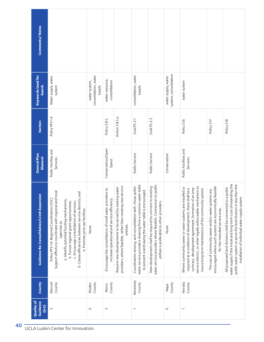| <b>Comments/Notes</b>                      |                                                                                                                                                                                                                                                                                                                                                     |                                                       |                                                                                                             |                                                                                                                                     |                                                                                                                                                                                |                                                                                                                                                                         |                                              |                                                                                                                                                                                                                                                                                                      |                                                                                                                                                  |                                                                                                                                                                                                                                                        |
|--------------------------------------------|-----------------------------------------------------------------------------------------------------------------------------------------------------------------------------------------------------------------------------------------------------------------------------------------------------------------------------------------------------|-------------------------------------------------------|-------------------------------------------------------------------------------------------------------------|-------------------------------------------------------------------------------------------------------------------------------------|--------------------------------------------------------------------------------------------------------------------------------------------------------------------------------|-------------------------------------------------------------------------------------------------------------------------------------------------------------------------|----------------------------------------------|------------------------------------------------------------------------------------------------------------------------------------------------------------------------------------------------------------------------------------------------------------------------------------------------------|--------------------------------------------------------------------------------------------------------------------------------------------------|--------------------------------------------------------------------------------------------------------------------------------------------------------------------------------------------------------------------------------------------------------|
| <b>Keywords Used for</b><br><b>Search</b>  | Water supply, water<br>system                                                                                                                                                                                                                                                                                                                       | consolidation, water<br>water system,<br><b>Addns</b> | water resource,<br>consolidation                                                                            |                                                                                                                                     | consolidation, water<br><b>Alddns</b>                                                                                                                                          |                                                                                                                                                                         | system, consolidation<br>water supply, water | water system                                                                                                                                                                                                                                                                                         |                                                                                                                                                  |                                                                                                                                                                                                                                                        |
| Section                                    | Policy PFS-1.4                                                                                                                                                                                                                                                                                                                                      |                                                       | Policy 3.B.5.                                                                                               | Action 3.B.5.a.                                                                                                                     | Goal PS-2.1                                                                                                                                                                    | <b>Goal PS-2.3</b>                                                                                                                                                      |                                              | Policy 3.16                                                                                                                                                                                                                                                                                          | Policy 3.17                                                                                                                                      | Policy 3.18                                                                                                                                                                                                                                            |
| <b>General Plan</b><br>Element             | Public Facilites and<br>Services                                                                                                                                                                                                                                                                                                                    |                                                       | Conservation/Open<br>Space                                                                                  |                                                                                                                                     | Public Service                                                                                                                                                                 | Public Service                                                                                                                                                          | Conservation                                 | Public Facilities and<br>Services                                                                                                                                                                                                                                                                    |                                                                                                                                                  |                                                                                                                                                                                                                                                        |
| Guidance Re: Consolidation/Limit Expansion | Support efforts to coordinate with regional and local<br>d. Create efficiencies between service districts; and<br>Policy PFS-1.4: Regional Coordination (IGC)<br>a. Identify potential funding mechanisms;<br>b. Pursue regional grant opportunities;<br>c. Encourage consolidation of services;<br>e. Promote joint use facilities.<br>agencies to | None                                                  | oviders to<br>increase operational and service efficiency.<br>Encourage the consolidation of small water pr | providers, where feasible, rather than creating new service<br>Require new developments to be served by existing water<br>entities. | water service providers drawing from a common water table<br>Coordination among, and consolidation with, those public<br>to prevent overdrawing the water table is encouraged. | water service providers where feasible. Connection to public<br>New development shall be required to connect to existing<br>utilities is preferable to other providers. | None                                         | service district, or other legally enforceable mechanism to<br>Where community sewer or water systems are installed or<br>contract, development agreement, formation of an area<br>insure long term maintenance of the community system.<br>required as a condition of development, there shall be a | encouraged where such systems are economically feasible<br>The use of community sewer and/or water systems are<br>for the intended service area. | water supply if the initial and long-term cost of extending the<br>public water system to serve the land division is less than the<br>to a public<br>installation of individual water supply system.<br>All proposed land divisions shall be connected |
| County                                     | Merced<br>County                                                                                                                                                                                                                                                                                                                                    | Modoc<br>County                                       | County<br>Mono                                                                                              |                                                                                                                                     | Monterey<br>County                                                                                                                                                             |                                                                                                                                                                         | County<br>Napa                               | Nevada<br>County                                                                                                                                                                                                                                                                                     |                                                                                                                                                  |                                                                                                                                                                                                                                                        |
| Quality of<br>Guidance<br>$(0-3)$          | $\sim$                                                                                                                                                                                                                                                                                                                                              | $\circ$                                               | $\infty$                                                                                                    |                                                                                                                                     | $\overline{ }$                                                                                                                                                                 |                                                                                                                                                                         | $\circ$                                      | $\overline{ }$                                                                                                                                                                                                                                                                                       |                                                                                                                                                  |                                                                                                                                                                                                                                                        |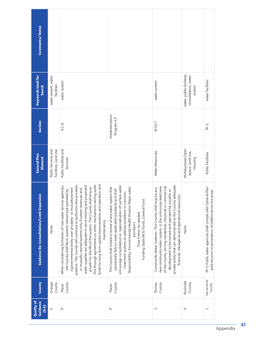| <b>Comments/Notes</b>                             |                                             |                                                                                                                                                                                                                                                                                                                                                                                                                                                                                                                                                                               |                                                                                                                                                                                                                                                                                                                                                                                          |                                                                                                                                                                                                                                                                                                                                                          |                                                             |                                                                                                                         |
|---------------------------------------------------|---------------------------------------------|-------------------------------------------------------------------------------------------------------------------------------------------------------------------------------------------------------------------------------------------------------------------------------------------------------------------------------------------------------------------------------------------------------------------------------------------------------------------------------------------------------------------------------------------------------------------------------|------------------------------------------------------------------------------------------------------------------------------------------------------------------------------------------------------------------------------------------------------------------------------------------------------------------------------------------------------------------------------------------|----------------------------------------------------------------------------------------------------------------------------------------------------------------------------------------------------------------------------------------------------------------------------------------------------------------------------------------------------------|-------------------------------------------------------------|-------------------------------------------------------------------------------------------------------------------------|
| <b>Keywords Used for</b><br><b>Search</b>         | water system, water<br>facilities           | water system                                                                                                                                                                                                                                                                                                                                                                                                                                                                                                                                                                  |                                                                                                                                                                                                                                                                                                                                                                                          | water system                                                                                                                                                                                                                                                                                                                                             | water, public facilities,<br>consolidation, water<br>system | water facilities                                                                                                        |
| Section                                           |                                             | 4.C.8.                                                                                                                                                                                                                                                                                                                                                                                                                                                                                                                                                                        | Implementation<br>Program 4.9                                                                                                                                                                                                                                                                                                                                                            | W9.5.7                                                                                                                                                                                                                                                                                                                                                   |                                                             | PF-3.                                                                                                                   |
| <b>General Plan</b><br>Element                    | Facilities, Land Use<br>Public Services and | Public Facilities and<br>Services                                                                                                                                                                                                                                                                                                                                                                                                                                                                                                                                             |                                                                                                                                                                                                                                                                                                                                                                                          | Water Resources                                                                                                                                                                                                                                                                                                                                          | Multipurpose Open<br>Space, Land Use,<br>Housing            | Public Facilities                                                                                                       |
| <b>Guidance Re: Consolidation/Limit Expansion</b> | None                                        | systems. The County will continue to authorize new privately-<br>funds for long term capital improvements and operation and<br>this through agreements or other mechanisms setting aside<br>When considering formation of new water service agencies,<br>water supplies are adequate to serve existing and projected<br>growth for the life of the system. The County shall ensure<br>or mutually-owned systems only if system revenues and<br>a governmental entity over privately- or mutuallyowned<br>the County shall favor systems owned and operated by<br>maintenance. | encourage consolidation or regionalization of surface water<br>The County shall initiate a review of any water system that<br>Responsibility: Environmental Health Division Major water<br>persistently fails to meet applicable standards and shall<br>treatment systems to address problems in common.<br>Funding: State MOU funds, General Fund<br>Time Frame: As needed<br>purveyors | private entity that can demonstrate to the County adequate<br>new community water system, in the unincorporated area<br>of the county, serving residential, industrial or commercial<br>Community Water Systems: The County shall require any<br>development to be owned and operated by a public or<br>financial, managerial and operational resources. | None                                                        | PF-3. Public water agencies shall comply with General Plan<br>policies prior to annexation of additional service areas. |
| County                                            | Orange<br>County                            | County<br>Placer                                                                                                                                                                                                                                                                                                                                                                                                                                                                                                                                                              | County<br>Placer                                                                                                                                                                                                                                                                                                                                                                         | Plumas<br>County                                                                                                                                                                                                                                                                                                                                         | Riverside<br>County                                         | Sacramento<br>County                                                                                                    |
| Quality of<br>Guidance<br>$(0-3)$                 | $\circ$                                     | $\tilde{\mathfrak{c}}$                                                                                                                                                                                                                                                                                                                                                                                                                                                                                                                                                        | $\tilde{\mathfrak{c}}$                                                                                                                                                                                                                                                                                                                                                                   | 2                                                                                                                                                                                                                                                                                                                                                        | $\circ$                                                     | $\sim$                                                                                                                  |

Appendix 41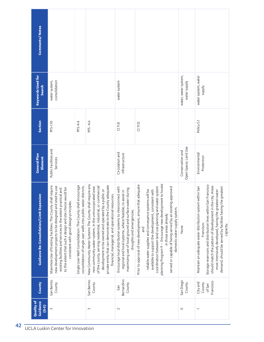| <b>Comments/Notes</b>                      |                                                                                                                                                                                                                                                                                                      |                                                                                                                               |                                                                                                                                                                                                                                                                                                                                                                  |                                                                                                                                                                                                               |                                                                                                                                                                                                                                                                                                                                                                                                                                             |                                          |                                                                                                                                                                                                                                                                                                                                             |
|--------------------------------------------|------------------------------------------------------------------------------------------------------------------------------------------------------------------------------------------------------------------------------------------------------------------------------------------------------|-------------------------------------------------------------------------------------------------------------------------------|------------------------------------------------------------------------------------------------------------------------------------------------------------------------------------------------------------------------------------------------------------------------------------------------------------------------------------------------------------------|---------------------------------------------------------------------------------------------------------------------------------------------------------------------------------------------------------------|---------------------------------------------------------------------------------------------------------------------------------------------------------------------------------------------------------------------------------------------------------------------------------------------------------------------------------------------------------------------------------------------------------------------------------------------|------------------------------------------|---------------------------------------------------------------------------------------------------------------------------------------------------------------------------------------------------------------------------------------------------------------------------------------------------------------------------------------------|
| <b>Keywords Used for</b><br>Search         | consolidation<br>water system,                                                                                                                                                                                                                                                                       |                                                                                                                               |                                                                                                                                                                                                                                                                                                                                                                  | water system                                                                                                                                                                                                  |                                                                                                                                                                                                                                                                                                                                                                                                                                             | water, water system,<br>water supply     | water system, water<br><b>Alddns</b>                                                                                                                                                                                                                                                                                                        |
| Section                                    | PFS-1.10                                                                                                                                                                                                                                                                                             | PFS-4.4                                                                                                                       | PFS-4.6                                                                                                                                                                                                                                                                                                                                                          | C111.8                                                                                                                                                                                                        | C111.12                                                                                                                                                                                                                                                                                                                                                                                                                                     |                                          | Policy 5.1                                                                                                                                                                                                                                                                                                                                  |
| <b>General Plan</b><br>Element             | Public Facilities and<br>Services                                                                                                                                                                                                                                                                    |                                                                                                                               |                                                                                                                                                                                                                                                                                                                                                                  | Circulation and<br>Infrastructure                                                                                                                                                                             |                                                                                                                                                                                                                                                                                                                                                                                                                                             | Open Space; Land Use<br>Conservation and | Environmental<br>Protection                                                                                                                                                                                                                                                                                                                 |
| Guidance Re: Consolidation/Limit Expansion | Maximize Use of Existing Facilities: The County shall require<br>sited to use<br>to the extent that such a design and site choice would be<br>existing facilities and services to the extent practical and<br>consistent with good design principles.<br>new development projects to be designed and | Single User Well Consolidation: The County shall encourage<br>consolidation of single user wells into public water districts. | New Community Water Systems The County shall require any<br>private entity that can demonstrate to the County adequate<br>of the county, serving residential, industrial, or commercial<br>new community water system, in the unincorporated area<br>public or<br>financial, managerial, and operational resources.<br>development to be owned and operated by a | Encourage local distribution systems to interconnect with<br>maximizing use of local ground and surface water during<br>regional and local systems, where feasible, to assist in<br>droughts and emergencies. | planning Program 9 -- Encourage new development to locate<br>Prior to approval of new development, ensure that adequate<br>coordination between land use planning and water system<br>served or capable of being served by an existing approved<br>reliable water supplies and conveyance systems will be<br>available to support the development, consistent with<br>domestic water supply system.<br>in those areas already<br><b>Due</b> | None                                     | Storage reservoirs and distribution lines within San Francisco<br>should match the pattern of development in the city. Areas<br>Maintain an adequate water distribution system within San<br>demand, should be served by facilities having the greatest<br>most intensively developed, having the greatest water<br>Francisco:<br>capacity. |
| County                                     | San Benito<br>County                                                                                                                                                                                                                                                                                 |                                                                                                                               | San Benito<br>County                                                                                                                                                                                                                                                                                                                                             | Bernardino<br>County<br>San                                                                                                                                                                                   |                                                                                                                                                                                                                                                                                                                                                                                                                                             | San Diego<br>County                      | Francisco<br>City and<br>County<br>of San                                                                                                                                                                                                                                                                                                   |
| Quality of<br>Guidance<br>$(0-3)$          | $\sim$                                                                                                                                                                                                                                                                                               |                                                                                                                               | $\infty$                                                                                                                                                                                                                                                                                                                                                         | $\sim$                                                                                                                                                                                                        |                                                                                                                                                                                                                                                                                                                                                                                                                                             | $\circ$                                  | $\overline{ }$                                                                                                                                                                                                                                                                                                                              |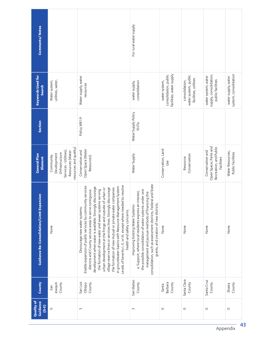| <b>Comments/Notes</b>                      |                                                                                                                     |                                                                                                                                                                                                                                                                                                                                                                                                                                                                                                                                                                                                                           | For rural water supply                                                                                                                                                                                                                                                                                                 |                                                                    |                                                                 |                                                                                   |                                              |
|--------------------------------------------|---------------------------------------------------------------------------------------------------------------------|---------------------------------------------------------------------------------------------------------------------------------------------------------------------------------------------------------------------------------------------------------------------------------------------------------------------------------------------------------------------------------------------------------------------------------------------------------------------------------------------------------------------------------------------------------------------------------------------------------------------------|------------------------------------------------------------------------------------------------------------------------------------------------------------------------------------------------------------------------------------------------------------------------------------------------------------------------|--------------------------------------------------------------------|-----------------------------------------------------------------|-----------------------------------------------------------------------------------|----------------------------------------------|
| <b>Keywords Used for</b><br>Search         | utilities, water,<br>Water system,                                                                                  | Water supply, water<br>resources                                                                                                                                                                                                                                                                                                                                                                                                                                                                                                                                                                                          | consolidation<br>water supply,                                                                                                                                                                                                                                                                                         | facilities, water supply<br>consolidation, public<br>water system, | water system, public<br>facilities, utilities<br>consolidation, | supply, consolidation,<br>water system, water<br>public facilities                | system, consolidation<br>water supply, water |
| Section                                    |                                                                                                                     | Policy WR1.9                                                                                                                                                                                                                                                                                                                                                                                                                                                                                                                                                                                                              | Water Supply Policy<br>10.17a                                                                                                                                                                                                                                                                                          |                                                                    |                                                                 |                                                                                   |                                              |
| <b>General Plan</b><br>Element             | resources and quality)<br>Services - Utilities),<br>Resources (Water<br>(Infrastructure<br>Development<br>Community | Open Space (Water<br>Conservation and<br>Resources)                                                                                                                                                                                                                                                                                                                                                                                                                                                                                                                                                                       | Water Supply                                                                                                                                                                                                                                                                                                           | Conservation, Land<br>Use                                          | Conservation<br>Resource                                        | Open Space; Parks and<br>Recreation, and Public<br>Conservation and<br>Facilities | Water Resources,<br>Public Facilities        |
| Guidance Re: Consolidation/Limit Expansion | None                                                                                                                | Levels of Severity I, II, or III, except where needed to resolve<br>Enable expansion of public services by community services<br>in groundwater basins with Resource Management System<br>development when water is available. Strongly discourage<br>village reserve lines or services lines. Strongly discourage<br>the formation of new mutual or private water companies<br>urban development at the fringe and outside of urban or<br>the formation of new water and sewer systems serving<br>districts and County service areas to serve contiguous<br>Discourage new water systems:<br>health and safety concerns. | consolidation, such as assessment districts, Federal and State<br>the possible consolidation of water systems under one<br>interest,<br>management and pursue methods of financing this<br>grants, and creation of new districts.<br>a. Support, where local residents express an<br>Improving Existing Water Systems: | None                                                               | None                                                            | None                                                                              | None                                         |
| County                                     | Joaquin<br>County<br>San                                                                                            | San Luis<br>Obispo<br>County                                                                                                                                                                                                                                                                                                                                                                                                                                                                                                                                                                                              | San Mateo<br>County                                                                                                                                                                                                                                                                                                    | Barbara<br>County<br>Santa                                         | Santa Clara<br>County                                           | Santa Cruz<br>County                                                              | County<br>Shasta                             |
| Quality of<br><b>Guidance</b><br>$(6-3)$   | $\circ$                                                                                                             | $\sim$                                                                                                                                                                                                                                                                                                                                                                                                                                                                                                                                                                                                                    | 3                                                                                                                                                                                                                                                                                                                      | $\circ$                                                            | $\circ$                                                         | $\circ$                                                                           | $\circ$                                      |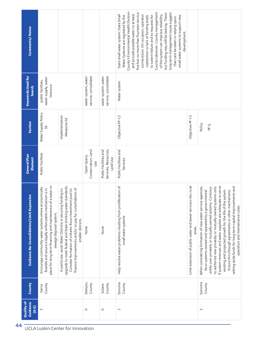| <b>Comments/Notes</b>                             |                                                                                                                                                                                                             |                                                                                                                                                                                                                                                                       |                                                 |                                                           | County's Environmental Health Division<br>County takeover. County management<br>long term management issues suggest<br>five but no more than fourteen service<br>but funding may still be lacking. These<br>and provide potable water to at least<br>of the system can improve reliability,<br>State small water system: State Small<br>connections. On occasion, operator<br>to system failure and to requests for<br>Water Systems are regulated by the<br>small water systems to support new<br>inattention or lack of funding leads<br>that care be taken in relying upon<br>development. |                                                                         |                                                                                                                                                                                                                                                                                                                                                                                                                                                                                                                               |
|---------------------------------------------------|-------------------------------------------------------------------------------------------------------------------------------------------------------------------------------------------------------------|-----------------------------------------------------------------------------------------------------------------------------------------------------------------------------------------------------------------------------------------------------------------------|-------------------------------------------------|-----------------------------------------------------------|-----------------------------------------------------------------------------------------------------------------------------------------------------------------------------------------------------------------------------------------------------------------------------------------------------------------------------------------------------------------------------------------------------------------------------------------------------------------------------------------------------------------------------------------------------------------------------------------------|-------------------------------------------------------------------------|-------------------------------------------------------------------------------------------------------------------------------------------------------------------------------------------------------------------------------------------------------------------------------------------------------------------------------------------------------------------------------------------------------------------------------------------------------------------------------------------------------------------------------|
| <b>Keywords Used for</b><br>Search                | water supply, water<br>public facilities,<br>resource                                                                                                                                                       |                                                                                                                                                                                                                                                                       | service, consolidate<br>water system, water     | water system, water<br>service, consolidate               | Water system                                                                                                                                                                                                                                                                                                                                                                                                                                                                                                                                                                                  |                                                                         |                                                                                                                                                                                                                                                                                                                                                                                                                                                                                                                               |
| Section                                           | Water Supply Policy<br>æ                                                                                                                                                                                    | Implementation<br>Measures 5d                                                                                                                                                                                                                                         |                                                 |                                                           | Objective PF-1.2                                                                                                                                                                                                                                                                                                                                                                                                                                                                                                                                                                              | Objective PF-1.3                                                        | Policy<br>PF-1j                                                                                                                                                                                                                                                                                                                                                                                                                                                                                                               |
| General Plan<br>Element                           | Public Facilities                                                                                                                                                                                           |                                                                                                                                                                                                                                                                       | Conservation, Land<br>Open Space,<br><b>Use</b> | Services, Resources,<br>Public Facilities and<br>Land Use | Public Facilities and<br>Services                                                                                                                                                                                                                                                                                                                                                                                                                                                                                                                                                             |                                                                         |                                                                                                                                                                                                                                                                                                                                                                                                                                                                                                                               |
| <b>Guidance Re: Consolidation/Limit Expansion</b> | place for long term financing and maintenance of a water or<br>Encourage community water systems where economically<br>feasible and assure a legally enforceable mechanism is in<br>sewage disposal system. | upgrade to meet federal and State drinking water standards.<br>finance improvements and/or to pay for consolidation of<br>In particular, assist Water Districts in securing funding to<br>Consider formation of a Marks-Roos investment pool to<br>smaller districts. | None                                            | None                                                      | Help resolve water problems resulting from proliferation of<br>small water systems                                                                                                                                                                                                                                                                                                                                                                                                                                                                                                            | Limit extension of public water and sewer services into rural<br>areas. | If system revenues and water supplies are adequate to serve<br>When considering formation of new water service agencies,<br>setting aside funds for long term capital improvements and<br>to authorize new privately or mutually owned systems only<br>entity over privately or mutually owned systems. Continue<br>existing and projected growth for the life of the system.<br>favor systems owned and operated by a governmental<br>Ensure this through agreements or other mechanisms<br>operation and maintenance costs. |
| County                                            | County<br>Sierra                                                                                                                                                                                            |                                                                                                                                                                                                                                                                       | Siskiyou<br>County                              | County<br>Solano                                          | Sonoma<br>County                                                                                                                                                                                                                                                                                                                                                                                                                                                                                                                                                                              |                                                                         | Sonoma<br>County                                                                                                                                                                                                                                                                                                                                                                                                                                                                                                              |
| Quality of<br>Guidance<br>$(6-3)$                 | $\infty$                                                                                                                                                                                                    |                                                                                                                                                                                                                                                                       | $\circ$                                         | $\circ$                                                   | $\sim$                                                                                                                                                                                                                                                                                                                                                                                                                                                                                                                                                                                        |                                                                         | $\sim$                                                                                                                                                                                                                                                                                                                                                                                                                                                                                                                        |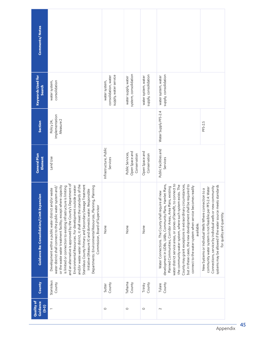| <b>Comments/Notes</b>                             |                                                                                                                                                                                                                                                                                                                                                                                                                                                                                                                                                                                                                                                                                |                                                                |                                                    |                                              |                                                                                                                                                                                                                                                                                                                                                                                                                                                                                                                         |                                                                                                                                                                                                                                                                            |
|---------------------------------------------------|--------------------------------------------------------------------------------------------------------------------------------------------------------------------------------------------------------------------------------------------------------------------------------------------------------------------------------------------------------------------------------------------------------------------------------------------------------------------------------------------------------------------------------------------------------------------------------------------------------------------------------------------------------------------------------|----------------------------------------------------------------|----------------------------------------------------|----------------------------------------------|-------------------------------------------------------------------------------------------------------------------------------------------------------------------------------------------------------------------------------------------------------------------------------------------------------------------------------------------------------------------------------------------------------------------------------------------------------------------------------------------------------------------------|----------------------------------------------------------------------------------------------------------------------------------------------------------------------------------------------------------------------------------------------------------------------------|
| <b>Keywords Used for</b><br>Search                | consolidation<br>water system,                                                                                                                                                                                                                                                                                                                                                                                                                                                                                                                                                                                                                                                 | supply, water service<br>consolidation, water<br>water system, | system, consolidation<br>water supply, water       | supply, consolidation<br>water system, water | supply, consolidation<br>water system, water                                                                                                                                                                                                                                                                                                                                                                                                                                                                            |                                                                                                                                                                                                                                                                            |
| Section                                           | Implementation<br>Measure <sub>2</sub><br>Policy 24,                                                                                                                                                                                                                                                                                                                                                                                                                                                                                                                                                                                                                           |                                                                |                                                    |                                              | Water Supply PFS-2.4                                                                                                                                                                                                                                                                                                                                                                                                                                                                                                    | PFS-2.5                                                                                                                                                                                                                                                                    |
| <b>General Plan</b><br>Element                    | Land Use                                                                                                                                                                                                                                                                                                                                                                                                                                                                                                                                                                                                                                                                       | Infrastructure, Public<br>Services                             | Open Space and<br>Public Services,<br>Conservation | Open Space and<br>Conservation               | Public Facilities and<br>Services                                                                                                                                                                                                                                                                                                                                                                                                                                                                                       |                                                                                                                                                                                                                                                                            |
| <b>Guidance Re: Consolidation/Limit Expansion</b> | and an alternative is approved by the County's Department of<br>and/or waste water district, it shall meet the standards of the<br>Stanislaus County Primary and Secondary Sewage Treatment<br>or the waste water treatment facility; except where capacity<br>is limited or connection to existing infrastructure is limiting<br>Environmental Resources. For development outside a water<br>Departments: Environmental Resources, Planning, Planning<br>water district shall connect to the public water system and/<br>Development within a public water district and/or waste<br>Initiative (Measure X) and domestic water. Responsible<br>Commission, Board of Supervisor | None                                                           | None                                               | None                                         | water district service areas, or zones of benefit, to connect to<br>County may grant exceptions in extraordinary circumstances,<br>but in these cases, the new development shall be required to<br>development in UDBs, UABs, Community Plans, Hamlet Plans,<br>the community water system, where such system exists. The<br>connect to the water system when service becomes readily<br>Planned Communities, Corridor Areas, Area Plans, existing<br>Water Connections. The County shall require all new<br>available. | systems may be allowed if the water source meets standards<br>Connections, service by individual wells or new community<br>community water system is not feasible per PFS-2.4: Water<br>New Systems or Individual Wells Where connection to a<br>for quality and quantity. |
| County                                            | Stanislaus<br>County                                                                                                                                                                                                                                                                                                                                                                                                                                                                                                                                                                                                                                                           | County<br>Sutter                                               | Tehama<br>County                                   | County<br>Trinity                            | County<br>Tulare                                                                                                                                                                                                                                                                                                                                                                                                                                                                                                        |                                                                                                                                                                                                                                                                            |
| Quality of<br>Guidance<br>$(6-3)$                 |                                                                                                                                                                                                                                                                                                                                                                                                                                                                                                                                                                                                                                                                                | $\circ$                                                        | $\circ$                                            | $\circ$                                      | 2                                                                                                                                                                                                                                                                                                                                                                                                                                                                                                                       |                                                                                                                                                                                                                                                                            |

Appendix 45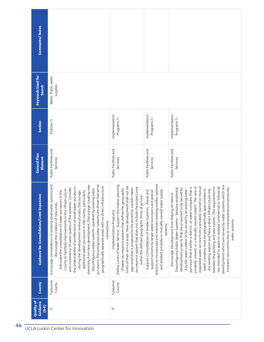| <b>Comments/Notes</b>                             |                                                                                                                                                                                                                                                                                                                                                                                                                                                                                                                                                                                                                                                                                                                                         |                                                                                                                                                                                                                                                                                                                                                                                              |                                                                                                                                                                                                                                                       |                                                                                                                                                                                                                                                                                                                                                                                                                                                                                                                                                                                                                                                                                                                                                                                                           |
|---------------------------------------------------|-----------------------------------------------------------------------------------------------------------------------------------------------------------------------------------------------------------------------------------------------------------------------------------------------------------------------------------------------------------------------------------------------------------------------------------------------------------------------------------------------------------------------------------------------------------------------------------------------------------------------------------------------------------------------------------------------------------------------------------------|----------------------------------------------------------------------------------------------------------------------------------------------------------------------------------------------------------------------------------------------------------------------------------------------------------------------------------------------------------------------------------------------|-------------------------------------------------------------------------------------------------------------------------------------------------------------------------------------------------------------------------------------------------------|-----------------------------------------------------------------------------------------------------------------------------------------------------------------------------------------------------------------------------------------------------------------------------------------------------------------------------------------------------------------------------------------------------------------------------------------------------------------------------------------------------------------------------------------------------------------------------------------------------------------------------------------------------------------------------------------------------------------------------------------------------------------------------------------------------------|
| <b>Keywords Used for</b><br>Search                | Water, Public water<br>supplies                                                                                                                                                                                                                                                                                                                                                                                                                                                                                                                                                                                                                                                                                                         |                                                                                                                                                                                                                                                                                                                                                                                              |                                                                                                                                                                                                                                                       |                                                                                                                                                                                                                                                                                                                                                                                                                                                                                                                                                                                                                                                                                                                                                                                                           |
| Section                                           | Policies 7.1                                                                                                                                                                                                                                                                                                                                                                                                                                                                                                                                                                                                                                                                                                                            | Implementation<br>Programs 7.1                                                                                                                                                                                                                                                                                                                                                               | Implementation<br>Programs 7.1                                                                                                                                                                                                                        | Implementation<br>Programs 7.I                                                                                                                                                                                                                                                                                                                                                                                                                                                                                                                                                                                                                                                                                                                                                                            |
| <b>General Plan</b><br>Element                    | Public Facilities and<br>Services                                                                                                                                                                                                                                                                                                                                                                                                                                                                                                                                                                                                                                                                                                       | Public Facilities and<br>Services                                                                                                                                                                                                                                                                                                                                                            | Public Facilities and<br>Services                                                                                                                                                                                                                     | Public Facilities and<br>Services                                                                                                                                                                                                                                                                                                                                                                                                                                                                                                                                                                                                                                                                                                                                                                         |
| <b>Guidance Re: Consolidation/Limit Expansion</b> | purveyors. Discontiguous water systems are those that serve<br>systems and<br>stemming from new development; Discourage creating new<br>geographically separate areas with no direct infrastructure<br>the undesirability of proliferation of small water purveyors<br>and consistency of water quality of the systems; Consider<br>discontiguous water systems operated by existing water<br>County to facilitate improvements to the infrastructure<br>Advocate the consolidation of water purveyors in the<br>during the development review process; Discourage<br>additional water purveyors in the county, particularly<br>discourage the creation of new ones.<br>Encourage consolidation of existing small water<br>connections. | Define Limits of Water Service - Support the master planning<br>limits of their service areas. New development shall not be<br>purveyance system that does not include the project area<br>approved that is proposed to be served by a public water<br>of water purveyance systems that define the geographic<br>within the defined geographic limits of service;<br>Implementation Programs | districts to incorporate and maintain existing smaller systems<br>and isolated privately or mutually-owned water supply<br>Support Consolidation of Smaller Systems - Assist and<br>support actions by larger water purveyors and special<br>systems; | developments which are served by water systems which are<br>privately-owned, or a mutually-owned system. The new or<br>between the existing and new system. This requirement is<br>purveyor that is either a district, or water company that is<br>not intended to apply to isolated commercial or industrial<br>expanded water service from a privately-owned or mutual<br>transient-noncommunity or nontransientnoncommunity<br>residential<br>development projects that are proposed to be served by<br>water company must be geographically approximate to<br>the existing system and have a direct infrastructure link<br>a public water system to be served by an existing water<br>Discourage Development from Relying on New or<br>Discontiguous Public Water Systems - Require<br>water systems; |
| County                                            | Tuolumne<br>County                                                                                                                                                                                                                                                                                                                                                                                                                                                                                                                                                                                                                                                                                                                      | Tuolumne<br>County                                                                                                                                                                                                                                                                                                                                                                           |                                                                                                                                                                                                                                                       |                                                                                                                                                                                                                                                                                                                                                                                                                                                                                                                                                                                                                                                                                                                                                                                                           |
| <b>Quality of</b><br>Guidance<br>$(6-3)$          | $\stackrel{*}{\sim}$                                                                                                                                                                                                                                                                                                                                                                                                                                                                                                                                                                                                                                                                                                                    | $\stackrel{*}{\sim}$                                                                                                                                                                                                                                                                                                                                                                         |                                                                                                                                                                                                                                                       |                                                                                                                                                                                                                                                                                                                                                                                                                                                                                                                                                                                                                                                                                                                                                                                                           |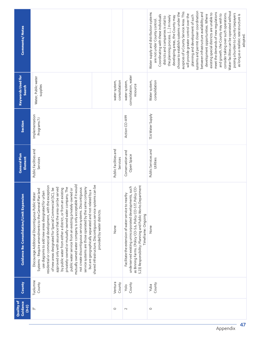| Comments/Notes                                 |                                                                                                                                                                                                                                                                                                                                                                                                                                                                                                                                                                                                                                                                                                                                                                                                                                                                                    |                                   |                                                                                                                                                                                                                                                                         | Water facilities can be operated without<br>systems and permit closer coordination<br>auspices of a County Service Area. This<br>choose to establish systems under the<br>meet the demands of new regulations<br>between infrastructure availability and<br>consider taking over such operations.<br>Water supply and distribution systems<br>existing special districts are unable to<br>posing a burden to County taxpayers<br>will provide greater control over the<br>and growth, the County may wish to<br>development opportunities. Where<br>as long as a realistic rate structure is<br>Coordinating with these individuals<br>planning and development of such<br>the planning process. [] In newly<br>developing areas, the County may<br>districts and companies is vital to<br>are not under County control.<br>adopted. |
|------------------------------------------------|------------------------------------------------------------------------------------------------------------------------------------------------------------------------------------------------------------------------------------------------------------------------------------------------------------------------------------------------------------------------------------------------------------------------------------------------------------------------------------------------------------------------------------------------------------------------------------------------------------------------------------------------------------------------------------------------------------------------------------------------------------------------------------------------------------------------------------------------------------------------------------|-----------------------------------|-------------------------------------------------------------------------------------------------------------------------------------------------------------------------------------------------------------------------------------------------------------------------|--------------------------------------------------------------------------------------------------------------------------------------------------------------------------------------------------------------------------------------------------------------------------------------------------------------------------------------------------------------------------------------------------------------------------------------------------------------------------------------------------------------------------------------------------------------------------------------------------------------------------------------------------------------------------------------------------------------------------------------------------------------------------------------------------------------------------------------|
| <b>Keywords Used for</b><br>Search             | Water, Public water<br>supplies                                                                                                                                                                                                                                                                                                                                                                                                                                                                                                                                                                                                                                                                                                                                                                                                                                                    | consolidation<br>water system,    | consolidation, water<br>water system,<br>resource                                                                                                                                                                                                                       | Water system,<br>consolidation                                                                                                                                                                                                                                                                                                                                                                                                                                                                                                                                                                                                                                                                                                                                                                                                       |
| Section                                        | Implementation<br>Programs 7.1                                                                                                                                                                                                                                                                                                                                                                                                                                                                                                                                                                                                                                                                                                                                                                                                                                                     |                                   | Action CO-A99                                                                                                                                                                                                                                                           | 13.6 Water Supply                                                                                                                                                                                                                                                                                                                                                                                                                                                                                                                                                                                                                                                                                                                                                                                                                    |
| <b>General Plan</b><br>Element                 | Public Facilities and<br>Services                                                                                                                                                                                                                                                                                                                                                                                                                                                                                                                                                                                                                                                                                                                                                                                                                                                  | Public Facilities and<br>Services | Conservation and<br>Open Space                                                                                                                                                                                                                                          | Public Services and<br>Utilities                                                                                                                                                                                                                                                                                                                                                                                                                                                                                                                                                                                                                                                                                                                                                                                                     |
| nsion<br>Guidance Re: Consolidation/Limit Expa | mutually owned water company is only acceptable if it would<br>shared infrastructure. Discontiguous service systems can be<br>residential or commercial development, with the exception<br>service systems are those operated by the same company<br>privately-owned or mutually-owned water company. The<br>approved only with assurance that the area can be served<br>not create discontiguous service systems. Discontiguous<br>of new areas designated for Special Commercial (SC), be<br>public water service from an existing privately-owned or<br>by public water from either a district, or from an existing<br>Systems - Require amendments to the General Plan land<br>but are geographically separated and not related by a<br>use diagrams to add new areas designated for urban<br>Discourage Additional Discontiguous Public Water<br>provided by water districts. | None                              | 5.23) Responsibility: Planning and Public Works Department<br>underserved existing unincorporated developments, such<br>Policy CO-<br>nearby<br>as Binning Farms. (Policy CO-5.6, Policy CO-5.17,<br>Facilitate the extension of water service to<br>Timeframe: Ongoing | None                                                                                                                                                                                                                                                                                                                                                                                                                                                                                                                                                                                                                                                                                                                                                                                                                                 |
| County                                         | Tuolumne<br>County                                                                                                                                                                                                                                                                                                                                                                                                                                                                                                                                                                                                                                                                                                                                                                                                                                                                 | Ventura<br>County                 | County<br>Yolo                                                                                                                                                                                                                                                          | County<br><b>RduY</b>                                                                                                                                                                                                                                                                                                                                                                                                                                                                                                                                                                                                                                                                                                                                                                                                                |
| Quality of<br>Guidance<br>$(6-3)$              | $\stackrel{*}{\scriptstyle\sim}$                                                                                                                                                                                                                                                                                                                                                                                                                                                                                                                                                                                                                                                                                                                                                                                                                                                   | $\circ$                           | $\sim$                                                                                                                                                                                                                                                                  | $\circ$                                                                                                                                                                                                                                                                                                                                                                                                                                                                                                                                                                                                                                                                                                                                                                                                                              |